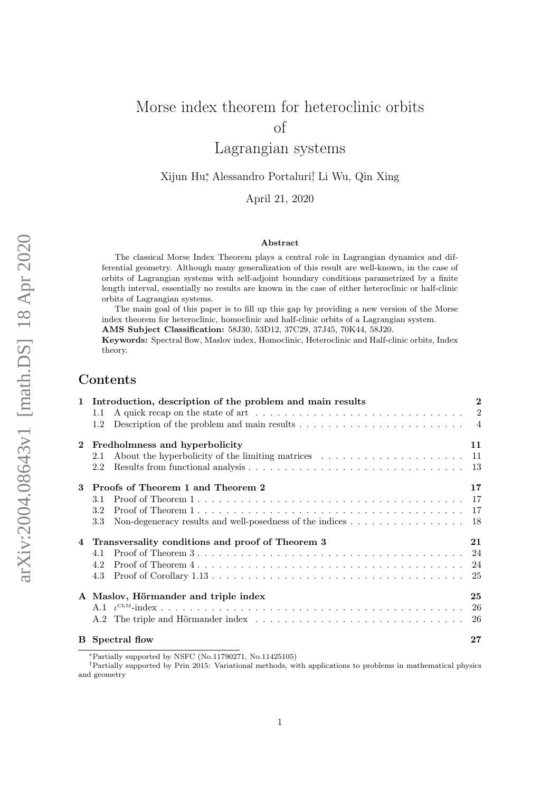# Morse index theorem for heteroclinic orbits of Lagrangian systems

Xijun Hu<sup>∗</sup> , Alessandro Portaluri† , Li Wu, Qin Xing

April 21, 2020

#### Abstract

The classical Morse Index Theorem plays a central role in Lagrangian dynamics and differential geometry. Although many generalization of this result are well-known, in the case of orbits of Lagrangian systems with self-adjoint boundary conditions parametrized by a finite length interval, essentially no results are known in the case of either heteroclinic or half-clinic orbits of Lagrangian systems.

The main goal of this paper is to fill up this gap by providing a new version of the Morse index theorem for heteroclinic, homoclinic and half-clinic orbits of a Lagrangian system.

AMS Subject Classification: 58J30, 53D12, 37C29, 37J45, 70K44, 58J20.

Keywords: Spectral flow, Maslov index, Homoclinic, Heteroclinic and Half-clinic orbits, Index theory.

### Contents

|              | 1 Introduction, description of the problem and main results<br>1.1<br>1.2                                                                                                                                                                                                                              | $\bf{2}$ |
|--------------|--------------------------------------------------------------------------------------------------------------------------------------------------------------------------------------------------------------------------------------------------------------------------------------------------------|----------|
| $\mathbf{2}$ | Fredholmness and hyperbolicity<br>2.1<br>2.2                                                                                                                                                                                                                                                           | 11       |
| 3            | Proofs of Theorem 1 and Theorem 2<br>3.1<br>3.2<br>Non-degeneracy results and well-posedness of the indices 18<br>$3.3\,$                                                                                                                                                                              | 17       |
|              | 4 Transversality conditions and proof of Theorem 3<br>Proof of Theorem $3 \ldots \ldots \ldots \ldots \ldots \ldots \ldots \ldots \ldots \ldots \ldots \ldots$<br>4.1<br>Proof of Theorem $4 \ldots \ldots \ldots \ldots \ldots \ldots \ldots \ldots \ldots \ldots \ldots \ldots \ldots$<br>4.2<br>4.3 | 21       |
|              | A Maslov, Hörmander and triple index                                                                                                                                                                                                                                                                   | 25       |
|              | <b>B</b> Spectral flow                                                                                                                                                                                                                                                                                 | 27       |

<sup>∗</sup>Partially supported by NSFC (No.11790271, No.11425105)

†Partially supported by Prin 2015: Variational methods, with applications to problems in mathematical physics and geometry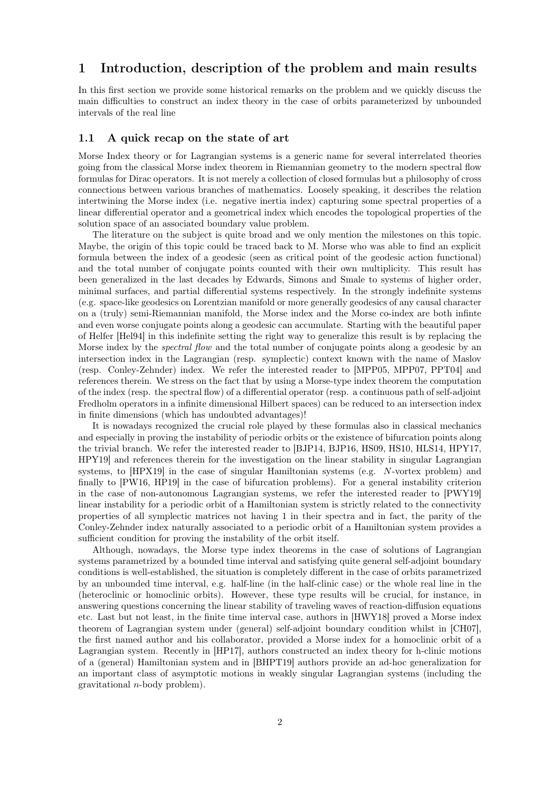### <span id="page-1-0"></span>1 Introduction, description of the problem and main results

In this first section we provide some historical remarks on the problem and we quickly discuss the main difficulties to construct an index theory in the case of orbits parameterized by unbounded intervals of the real line

#### <span id="page-1-1"></span>1.1 A quick recap on the state of art

Morse Index theory or for Lagrangian systems is a generic name for several interrelated theories going from the classical Morse index theorem in Riemannian geometry to the modern spectral flow formulas for Dirac operators. It is not merely a collection of closed formulas but a philosophy of cross connections between various branches of mathematics. Loosely speaking, it describes the relation intertwining the Morse index (i.e. negative inertia index) capturing some spectral properties of a linear differential operator and a geometrical index which encodes the topological properties of the solution space of an associated boundary value problem.

The literature on the subject is quite broad and we only mention the milestones on this topic. Maybe, the origin of this topic could be traced back to M. Morse who was able to find an explicit formula between the index of a geodesic (seen as critical point of the geodesic action functional) and the total number of conjugate points counted with their own multiplicity. This result has been generalized in the last decades by Edwards, Simons and Smale to systems of higher order, minimal surfaces, and partial differential systems respectively. In the strongly indefinite systems (e.g. space-like geodesics on Lorentzian manifold or more generally geodesics of any causal character on a (truly) semi-Riemannian manifold, the Morse index and the Morse co-index are both infinte and even worse conjugate points along a geodesic can accumulate. Starting with the beautiful paper of Helfer [\[Hel94\]](#page-27-0) in this indefinite setting the right way to generalize this result is by replacing the Morse index by the *spectral flow* and the total number of conjugate points along a geodesic by an intersection index in the Lagrangian (resp. symplectic) context known with the name of Maslov (resp. Conley-Zehnder) index. We refer the interested reader to [\[MPP05,](#page-28-0) [MPP07,](#page-28-1) [PPT04\]](#page-28-2) and references therein. We stress on the fact that by using a Morse-type index theorem the computation of the index (resp. the spectral flow) of a differential operator (resp. a continuous path of self-adjoint Fredholm operators in a infinite dimensional Hilbert spaces) can be reduced to an intersection index in finite dimensions (which has undoubted advantages)!

It is nowadays recognized the crucial role played by these formulas also in classical mechanics and especially in proving the instability of periodic orbits or the existence of bifurcation points along the trivial branch. We refer the interested reader to [\[BJP14,](#page-27-1) [BJP16,](#page-27-2) [HS09,](#page-28-3) [HS10,](#page-28-4) [HLS14,](#page-28-5) [HPY17,](#page-28-6) [HPY19\]](#page-28-7) and references therein for the investigation on the linear stability in singular Lagrangian systems, to [\[HPX19\]](#page-28-8) in the case of singular Hamiltonian systems (e.g. N-vortex problem) and finally to [\[PW16,](#page-28-9) [HP19\]](#page-28-10) in the case of bifurcation problems). For a general instability criterion in the case of non-autonomous Lagrangian systems, we refer the interested reader to [\[PWY19\]](#page-28-11) linear instability for a periodic orbit of a Hamiltonian system is strictly related to the connectivity properties of all symplectic matrices not having 1 in their spectra and in fact, the parity of the Conley-Zehnder index naturally associated to a periodic orbit of a Hamiltonian system provides a sufficient condition for proving the instability of the orbit itself.

Although, nowadays, the Morse type index theorems in the case of solutions of Lagrangian systems parametrized by a bounded time interval and satisfying quite general self-adjoint boundary conditions is well-established, the situation is completely different in the case of orbits parametrized by an unbounded time interval, e.g. half-line (in the half-clinic case) or the whole real line in the (heteroclinic or homoclinic orbits). However, these type results will be crucial, for instance, in answering questions concerning the linear stability of traveling waves of reaction-diffusion equations etc. Last but not least, in the finite time interval case, authors in [\[HWY18\]](#page-28-12) proved a Morse index theorem of Lagrangian system under (general) self-adjoint boundary condition whilst in [\[CH07\]](#page-27-3), the first named author and his collaborator, provided a Morse index for a homoclinic orbit of a Lagrangian system. Recently in [\[HP17\]](#page-28-13), authors constructed an index theory for h-clinic motions of a (general) Hamiltonian system and in [\[BHPT19\]](#page-27-4) authors provide an ad-hoc generalization for an important class of asymptotic motions in weakly singular Lagrangian systems (including the gravitational n-body problem).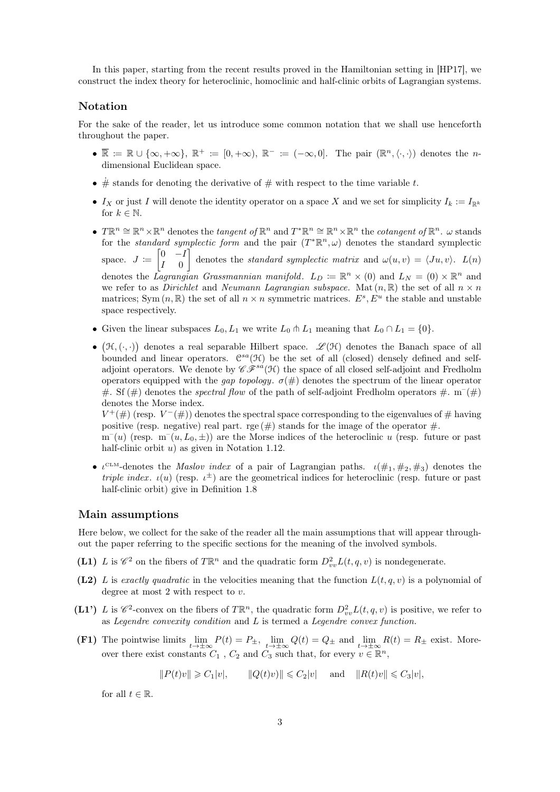In this paper, starting from the recent results proved in the Hamiltonian setting in [\[HP17\]](#page-28-13), we construct the index theory for heteroclinic, homoclinic and half-clinic orbits of Lagrangian systems.

#### Notation

For the sake of the reader, let us introduce some common notation that we shall use henceforth throughout the paper.

- $\overline{\mathbb{R}} := \mathbb{R} \cup \{\infty, +\infty\}, \ \mathbb{R}^+ := [0, +\infty), \ \mathbb{R}^- := (-\infty, 0].$  The pair  $(\mathbb{R}^n, \langle \cdot, \cdot \rangle)$  denotes the *n*dimensional Euclidean space.
- $\dot{\#}$  stands for denoting the derivative of  $\#$  with respect to the time variable t.
- Ix or just I will denote the identity operator on a space X and we set for simplicity  $I_k := I_{\mathbb{R}^k}$ for  $k \in \mathbb{N}$ .
- $T\mathbb{R}^n \cong \mathbb{R}^n \times \mathbb{R}^n$  denotes the tangent of  $\mathbb{R}^n$  and  $T^*\mathbb{R}^n \cong \mathbb{R}^n \times \mathbb{R}^n$  the cotangent of  $\mathbb{R}^n$ .  $\omega$  stands for the *standard symplectic form* and the pair  $(T^*\mathbb{R}^n, \omega)$  denotes the standard symplectic space.  $J \coloneqq \begin{bmatrix} 0 & -I \\ I & 0 \end{bmatrix}$  $I \quad 0$ denotes the *standard symplectic matrix* and  $\omega(u, v) = \langle Ju, v \rangle$ .  $L(n)$ denotes the Lagrangian Grassmannian manifold.  $L_D := \mathbb{R}^n \times (0)$  and  $L_N = (0) \times \mathbb{R}^n$  and we refer to as *Dirichlet* and *Neumann Lagrangian subspace*. Mat  $(n, \mathbb{R})$  the set of all  $n \times n$ matrices; Sym  $(n, \mathbb{R})$  the set of all  $n \times n$  symmetric matrices.  $E^s$ ,  $E^u$  the stable and unstable space respectively.
- Given the linear subspaces  $L_0, L_1$  we write  $L_0 \uparrow L_1$  meaning that  $L_0 \cap L_1 = \{0\}.$
- $(\mathcal{H}, (\cdot, \cdot))$  denotes a real separable Hilbert space.  $\mathscr{L}(\mathcal{H})$  denotes the Banach space of all bounded and linear operators.  $C^{sa}(\mathcal{H})$  be the set of all (closed) densely defined and selfadjoint operators. We denote by  $\mathscr{C} \mathscr{F}^{sa}(\mathcal{H})$  the space of all closed self-adjoint and Fredholm operators equipped with the gap topology.  $\sigma(\#)$  denotes the spectrum of the linear operator #. Sf (#) denotes the *spectral flow* of the path of self-adjoint Fredholm operators #.  $m^{-}(H)$ denotes the Morse index.

 $V^+(\#)$  (resp.  $V^-(\#)$ ) denotes the spectral space corresponding to the eigenvalues of # having positive (resp. negative) real part. rge  $(\#)$  stands for the image of the operator  $\#$ .

 $m^-(u)$  (resp.  $m^-(u, L_0, \pm)$ ) are the Morse indices of the heteroclinic u (resp. future or past half-clinic orbit  $u$ ) as given in Notation [1.12.](#page-9-1)

•  $\iota^{\text{CLM}}$ -denotes the *Maslov index* of a pair of Lagrangian paths.  $\iota(\#_1, \#_2, \#_3)$  denotes the *triple index.*  $\iota(u)$  (resp.  $\iota^{\pm}$ ) are the geometrical indices for heteroclinic (resp. future or past half-clinic orbit) give in Definition [1.8](#page-7-0)

#### Main assumptions

Here below, we collect for the sake of the reader all the main assumptions that will appear throughout the paper referring to the specific sections for the meaning of the involved symbols.

- (L1) L is  $\mathscr{C}^2$  on the fibers of  $T\mathbb{R}^n$  and the quadratic form  $D_{vv}^2L(t, q, v)$  is nondegenerate.
- (L2) L is exactly quadratic in the velocities meaning that the function  $L(t, q, v)$  is a polynomial of degree at most 2 with respect to  $v$ .
- (L1') L is  $\mathscr{C}^2$ -convex on the fibers of  $T\mathbb{R}^n$ , the quadratic form  $D_{vv}^2L(t, q, v)$  is positive, we refer to as Legendre convexity condition and  $L$  is termed a Legendre convex function.
- (F1) The pointwise limits  $\lim_{t\to\pm\infty} P(t) = P_{\pm}$ ,  $\lim_{t\to\pm\infty} Q(t) = Q_{\pm}$  and  $\lim_{t\to\pm\infty} R(t) = R_{\pm}$  exist. Moreover there exist constants  $C_1$ ,  $C_2$  and  $C_3$  such that, for every  $v \in \mathbb{R}^n$ ,

 $||P(t)v|| \geq C_1|v|, \qquad ||Q(t)v|| \leq C_2|v| \quad \text{and} \quad ||R(t)v|| \leq C_3|v|,$ 

for all  $t \in \mathbb{R}$ .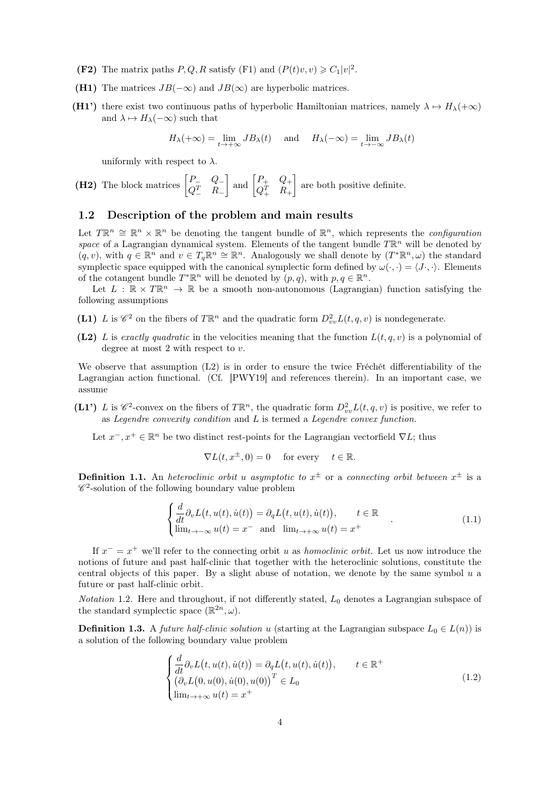- (F2) The matrix paths  $P, Q, R$  satisfy (F1) and  $(P(t)v, v) \geq C_1|v|^2$ .
- (H1) The matrices  $JB(-\infty)$  and  $JB(\infty)$  are hyperbolic matrices.
- (H1') there exist two continuous paths of hyperbolic Hamiltonian matrices, namely  $\lambda \mapsto H_{\lambda}(+\infty)$ and  $\lambda \mapsto H_{\lambda}(-\infty)$  such that

$$
H_{\lambda}(+\infty) = \lim_{t \to +\infty} J B_{\lambda}(t) \quad \text{and} \quad H_{\lambda}(-\infty) = \lim_{t \to -\infty} J B_{\lambda}(t)
$$

uniformly with respect to  $\lambda$ .

(H2) The block matrices 
$$
\begin{bmatrix} P_- & Q_- \\ Q_-^T & R_- \end{bmatrix}
$$
 and  $\begin{bmatrix} P_+ & Q_+ \\ Q_+^T & R_+ \end{bmatrix}$  are both positive definite.

#### <span id="page-3-0"></span>1.2 Description of the problem and main results

Let  $T\mathbb{R}^n \cong \mathbb{R}^n \times \mathbb{R}^n$  be denoting the tangent bundle of  $\mathbb{R}^n$ , which represents the *configuration* space of a Lagrangian dynamical system. Elements of the tangent bundle  $T\mathbb{R}^n$  will be denoted by  $(q, v)$ , with  $q \in \mathbb{R}^n$  and  $v \in T_q \mathbb{R}^n \cong \mathbb{R}^n$ . Analogously we shall denote by  $(T^* \mathbb{R}^n, \omega)$  the standard symplectic space equipped with the canonical symplectic form defined by  $\omega(\cdot, \cdot) = \langle J \cdot, \cdot \rangle$ . Elements of the cotangent bundle  $T^*\mathbb{R}^n$  will be denoted by  $(p, q)$ , with  $p, q \in \mathbb{R}^n$ .

Let  $L : \mathbb{R} \times T\mathbb{R}^n \to \mathbb{R}$  be a smooth non-autonomous (Lagrangian) function satisfying the following assumptions

- (L1) L is  $\mathscr{C}^2$  on the fibers of  $T\mathbb{R}^n$  and the quadratic form  $D_{vv}^2L(t, q, v)$  is nondegenerate.
- (L2) L is exactly quadratic in the velocities meaning that the function  $L(t, q, v)$  is a polynomial of degree at most 2 with respect to v.

We observe that assumption (L2) is in order to ensure the twice Fréchét differentiability of the Lagrangian action functional. (Cf. [\[PWY19\]](#page-28-11) and references therein). In an important case, we assume

(L1') L is  $\mathscr{C}^2$ -convex on the fibers of  $T\mathbb{R}^n$ , the quadratic form  $D_{vv}^2L(t, q, v)$  is positive, we refer to as Legendre convexity condition and L is termed a Legendre convex function.

Let  $x^-, x^+ \in \mathbb{R}^n$  be two distinct rest-points for the Lagrangian vectorfield  $\nabla L$ ; thus

<span id="page-3-1"></span>
$$
\nabla L(t, x^{\pm}, 0) = 0 \quad \text{for every} \quad t \in \mathbb{R}.
$$

**Definition 1.1.** An heteroclinic orbit u asymptotic to  $x^{\pm}$  or a connecting orbit between  $x^{\pm}$  is a  $\mathscr{C}^2$ -solution of the following boundary value problem

$$
\begin{cases}\n\frac{d}{dt}\partial_v L(t, u(t), \dot{u}(t)) = \partial_q L(t, u(t), \dot{u}(t)), & t \in \mathbb{R} \\
\lim_{t \to -\infty} u(t) = x^- \text{ and } \lim_{t \to +\infty} u(t) = x^+\n\end{cases} (1.1)
$$

If  $x^- = x^+$  we'll refer to the connecting orbit u as *homoclinic orbit*. Let us now introduce the notions of future and past half-clinic that together with the heteroclinic solutions, constitute the central objects of this paper. By a slight abuse of notation, we denote by the same symbol u a future or past half-clinic orbit.

*Notation* 1.2. Here and throughout, if not differently stated,  $L_0$  denotes a Lagrangian subspace of the standard symplectic space  $(\mathbb{R}^{2n}, \omega)$ .

**Definition 1.3.** A *future half-clinic solution u* (starting at the Lagrangian subspace  $L_0 \in L(n)$ ) is a solution of the following boundary value problem

<span id="page-3-2"></span>
$$
\begin{cases}\n\frac{d}{dt}\partial_v L(t, u(t), \dot{u}(t)) = \partial_q L(t, u(t), \dot{u}(t)), & t \in \mathbb{R}^+ \\
(\partial_v L(0, u(0), \dot{u}(0), u(0))^T \in L_0 \\
\lim_{t \to +\infty} u(t) = x^+\n\end{cases}
$$
\n(1.2)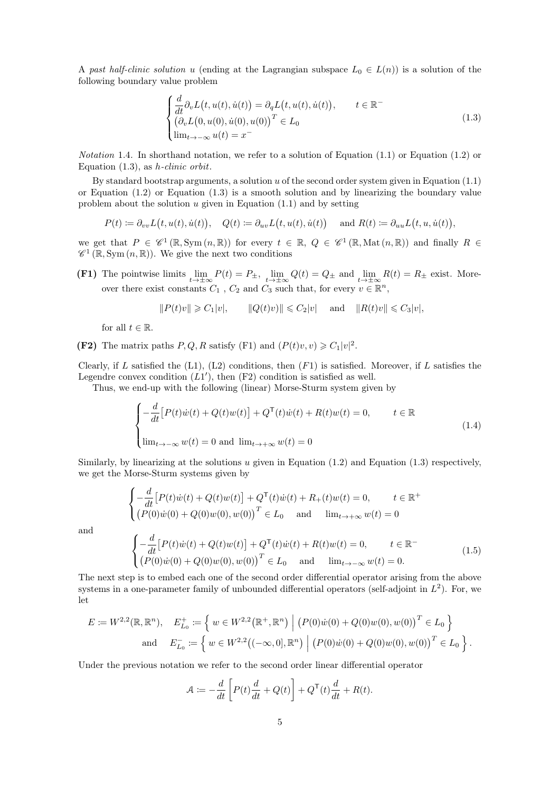A past half-clinic solution u (ending at the Lagrangian subspace  $L_0 \in L(n)$ ) is a solution of the following boundary value problem

<span id="page-4-0"></span>
$$
\begin{cases}\n\frac{d}{dt}\partial_v L(t, u(t), \dot{u}(t)) = \partial_q L(t, u(t), \dot{u}(t)), & t \in \mathbb{R}^-\n\\ \n(\partial_v L(0, u(0), \dot{u}(0), u(0))^T \in L_0\n\\ \n\lim_{t \to -\infty} u(t) = x^-\n\end{cases}
$$
\n(1.3)

*Notation* 1.4. In shorthand notation, we refer to a solution of Equation  $(1.1)$  or Equation  $(1.2)$  or Equation  $(1.3)$ , as *h*-clinic orbit.

By standard bootstrap arguments, a solution  $u$  of the second order system given in Equation  $(1.1)$ or Equation  $(1.2)$  or Equation  $(1.3)$  is a smooth solution and by linearizing the boundary value problem about the solution  $u$  given in Equation [\(1.1\)](#page-3-1) and by setting

$$
P(t) \coloneqq \partial_{vv} L(t, u(t), \dot{u}(t)), \quad Q(t) \coloneqq \partial_{uv} L(t, u(t), \dot{u}(t)) \quad \text{ and } R(t) \coloneqq \partial_{uu} L(t, u, \dot{u}(t)),
$$

we get that  $P \in \mathscr{C}^1(\mathbb{R}, \text{Sym}(n, \mathbb{R}))$  for every  $t \in \mathbb{R}, Q \in \mathscr{C}^1(\mathbb{R}, \text{Mat}(n, \mathbb{R}))$  and finally  $R \in$  $\mathscr{C}^1(\mathbb{R}, \text{Sym}(n, \mathbb{R}))$ . We give the next two conditions

(F1) The pointwise limits  $\lim_{t\to\pm\infty} P(t) = P_{\pm}$ ,  $\lim_{t\to\pm\infty} Q(t) = Q_{\pm}$  and  $\lim_{t\to\pm\infty} R(t) = R_{\pm}$  exist. Moreover there exist constants  $C_1$ ,  $C_2$  and  $C_3$  such that, for every  $v \in \mathbb{R}^n$ ,

<span id="page-4-1"></span>
$$
||P(t)v|| \geqslant C_1|v|, \qquad ||Q(t)v)|| \leqslant C_2|v| \quad \text{ and } \quad ||R(t)v|| \leqslant C_3|v|,
$$

for all  $t \in \mathbb{R}$ .

(F2) The matrix paths  $P, Q, R$  satisfy (F1) and  $(P(t)v, v) \geq C_1|v|^2$ .

Clearly, if L satisfied the  $(L1)$ ,  $(L2)$  conditions, then  $(F1)$  is satisfied. Moreover, if L satisfies the Legendre convex condition  $(L1')$ , then  $(F2)$  condition is satisfied as well.

Thus, we end-up with the following (linear) Morse-Sturm system given by

$$
\begin{cases}\n-\frac{d}{dt}\left[P(t)\dot{w}(t) + Q(t)w(t)\right] + Q^{\mathsf{T}}(t)\dot{w}(t) + R(t)w(t) = 0, & t \in \mathbb{R} \\
\lim_{t \to -\infty} w(t) = 0 \text{ and } \lim_{t \to +\infty} w(t) = 0\n\end{cases}
$$
\n(1.4)

Similarly, by linearizing at the solutions  $u$  given in Equation [\(1.2\)](#page-3-2) and Equation [\(1.3\)](#page-4-0) respectively, we get the Morse-Sturm systems given by

$$
\begin{cases}\n-\frac{d}{dt}\left[P(t)\dot{w}(t) + Q(t)w(t)\right] + Q^{\mathsf{T}}(t)\dot{w}(t) + R_{+}(t)w(t) = 0, & t \in \mathbb{R}^{+} \\
\left(P(0)\dot{w}(0) + Q(0)w(0), w(0)\right)^{T} \in L_{0} & \text{and} & \lim_{t \to +\infty} w(t) = 0\n\end{cases}
$$
\n
$$
\begin{cases}\n-\frac{d}{dt}\left[P(t)\dot{w}(t) + Q(t)w(t)\right] + Q^{\mathsf{T}}(t)\dot{w}(t) + R(t)w(t) = 0, & t \in \mathbb{R}^{-} \\
\left(P(0)\dot{w}(0) + Q(0)w(0), w(0)\right)^{T} \in L_{0} & \text{and} & \lim_{t \to -\infty} w(t) = 0.\n\end{cases}
$$
\n(1.5)

and

$$
(P(0)\dot{w}(0) + Q(0)w(0), w(0))^{T} \in L_{0}
$$
 and  $\lim_{t \to -\infty} w(t) = 0$ .  
The next step is to embed each one of the second order differential operator arising from the above systems in a one-parameter family of unbounded differential operators (self-adjoint in  $L^{2}$ ). For, we let

$$
E := W^{2,2}(\mathbb{R}, \mathbb{R}^n), \quad E_{L_0}^+ := \left\{ w \in W^{2,2}(\mathbb{R}^+, \mathbb{R}^n) \middle| (P(0)\dot{w}(0) + Q(0)w(0), w(0)) \right\}^T \in L_0 \right\}
$$
  
and 
$$
E_{L_0}^- := \left\{ w \in W^{2,2}((-\infty, 0], \mathbb{R}^n) \middle| (P(0)\dot{w}(0) + Q(0)w(0), w(0)) \right\}^T \in L_0 \right\}.
$$

Under the previous notation we refer to the second order linear differential operator

<span id="page-4-2"></span>
$$
\mathcal{A} := -\frac{d}{dt} \left[ P(t) \frac{d}{dt} + Q(t) \right] + Q^{\mathsf{T}}(t) \frac{d}{dt} + R(t).
$$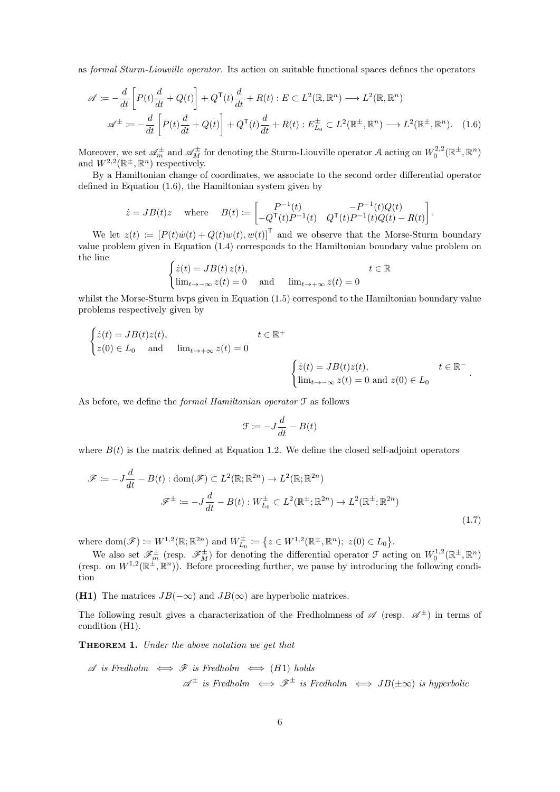as formal Sturm-Liouville operator. Its action on suitable functional spaces defines the operators

$$
\mathscr{A} := -\frac{d}{dt} \left[ P(t) \frac{d}{dt} + Q(t) \right] + Q^{\mathsf{T}}(t) \frac{d}{dt} + R(t) : E \subset L^{2}(\mathbb{R}, \mathbb{R}^{n}) \longrightarrow L^{2}(\mathbb{R}, \mathbb{R}^{n})
$$

$$
\mathscr{A}^{\pm} := -\frac{d}{dt} \left[ P(t) \frac{d}{dt} + Q(t) \right] + Q^{\mathsf{T}}(t) \frac{d}{dt} + R(t) : E_{L_{0}}^{\pm} \subset L^{2}(\mathbb{R}^{+}, \mathbb{R}^{n}) \longrightarrow L^{2}(\mathbb{R}^{+}, \mathbb{R}^{n}). \quad (1.6)
$$

Moreover, we set  $\mathscr{A}_{m}^{\pm}$  and  $\mathscr{A}_{M}^{\pm}$  for denoting the Sturm-Liouville operator A acting on  $W_0^{2,2}(\mathbb{R}^{\pm}, \mathbb{R}^n)$ and  $W^{2,2}(\mathbb{R}^{\pm}, \mathbb{R}^n)$  respectively.

By a Hamiltonian change of coordinates, we associate to the second order differential operator defined in Equation [\(1.6\)](#page-5-1), the Hamiltonian system given by

$$
\dot{z} = JB(t)z
$$
 where  $B(t) := \begin{bmatrix} P^{-1}(t) & -P^{-1}(t)Q(t) \\ -Q^{\mathsf{T}}(t)P^{-1}(t) & Q^{\mathsf{T}}(t)P^{-1}(t)Q(t) - R(t) \end{bmatrix}$ .

We let  $z(t) := [P(t)\dot{w}(t) + Q(t)w(t), w(t)]^{\mathsf{T}}$  and we observe that the Morse-Sturm boundary value problem given in Equation [\(1.4\)](#page-4-1) corresponds to the Hamiltonian boundary value problem on the line

<span id="page-5-1"></span>
$$
\begin{cases} \dot{z}(t) = JB(t) z(t), & t \in \mathbb{R} \\ \lim_{t \to -\infty} z(t) = 0 & \text{and} & \lim_{t \to +\infty} z(t) = 0 \end{cases}
$$

whilst the Morse-Sturm byps given in Equation  $(1.5)$  correspond to the Hamiltonian boundary value problems respectively given by

$$
\begin{cases}\n\dot{z}(t) = JB(t)z(t), & t \in \mathbb{R}^+ \\
z(0) \in L_0 \quad \text{and} \quad \lim_{t \to +\infty} z(t) = 0\n\end{cases}
$$
\n
$$
\begin{cases}\n\dot{z}(t) = JB(t)z(t), & t \in \mathbb{R}^- \\
\lim_{t \to -\infty} z(t) = 0 \text{ and } z(0) \in L_0\n\end{cases}
$$

As before, we define the *formal Hamiltonian operator*  $\mathcal F$  as follows

<span id="page-5-2"></span>
$$
\mathcal{F} \coloneqq -J\frac{d}{dt} - B(t)
$$

where  $B(t)$  is the matrix defined at Equation [1.2.](#page-5-1) We define the closed self-adjoint operators

$$
\mathcal{F} := -J\frac{d}{dt} - B(t) : \text{dom}(\mathcal{F}) \subset L^2(\mathbb{R}; \mathbb{R}^{2n}) \to L^2(\mathbb{R}; \mathbb{R}^{2n})
$$

$$
\mathcal{F}^{\pm} := -J\frac{d}{dt} - B(t) : W_{L_0}^{\pm} \subset L^2(\mathbb{R}^{\pm}; \mathbb{R}^{2n}) \to L^2(\mathbb{R}^{\pm}; \mathbb{R}^{2n})
$$
(1.7)

where dom $(\mathscr{F}) \coloneqq W^{1,2}(\mathbb{R}; \mathbb{R}^{2n})$  and  $W_{L_0}^{\pm} \coloneqq \{z \in W^{1,2}(\mathbb{R}^{\pm}, \mathbb{R}^{n}); z(0) \in L_0\}.$ 

We also set  $\mathscr{F}_{m}^{\pm}$  (resp.  $\mathscr{F}_{M}^{\pm}$ ) for denoting the differential operator  $\mathcal{F}$  acting on  $W_0^{1,2}(\mathbb{R}^{\pm}, \mathbb{R}^n)$ (resp. on  $W^{1,2}(\mathbb{R}^{\pm}, \mathbb{R}^n)$ ). Before proceeding further, we pause by introducing the following condition

(H1) The matrices  $JB(-\infty)$  and  $JB(\infty)$  are hyperbolic matrices.

The following result gives a characterization of the Fredholmness of  $\mathscr{A}$  (resp.  $\mathscr{A}^{\pm}$ ) in terms of condition (H1).

<span id="page-5-0"></span>**THEOREM 1.** Under the above notation we get that

$$
\mathscr{A} \text{ is Fredholm } \iff \mathscr{F} \text{ is Fredholm } \iff (H1) \text{ holds}
$$
\n
$$
\mathscr{A}^{\pm} \text{ is Fredholm } \iff \mathscr{F}^{\pm} \text{ is Fredholm } \iff JB(\pm \infty) \text{ is hyperbolic}
$$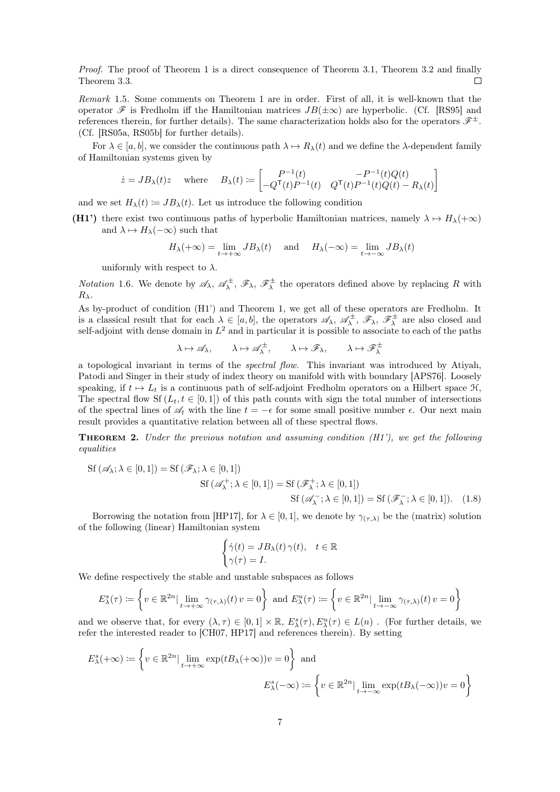Proof. The proof of Theorem [1](#page-5-0) is a direct consequence of Theorem [3.1,](#page-16-3) Theorem [3.2](#page-16-4) and finally Theorem [3.3.](#page-16-5)  $\Box$ 

Remark 1.5. Some comments on Theorem [1](#page-5-0) are in order. First of all, it is well-known that the operator  $\mathscr F$  is Fredholm iff the Hamiltonian matrices  $JB(\pm \infty)$  are hyperbolic. (Cf. [\[RS95\]](#page-29-0) and references therein, for further details). The same characterization holds also for the operators  $\mathscr{F}^{\pm}$ . (Cf. [\[RS05a,](#page-28-14) [RS05b\]](#page-29-1) for further details).

For  $\lambda \in [a, b]$ , we consider the continuous path  $\lambda \mapsto R_\lambda(t)$  and we define the  $\lambda$ -dependent family of Hamiltonian systems given by

$$
\dot{z} = JB_{\lambda}(t)z \quad \text{where} \quad B_{\lambda}(t) := \begin{bmatrix} P^{-1}(t) & -P^{-1}(t)Q(t) \\ -Q^{\mathsf{T}}(t)P^{-1}(t) & Q^{\mathsf{T}}(t)P^{-1}(t)Q(t) - R_{\lambda}(t) \end{bmatrix}
$$

and we set  $H_{\lambda}(t) := JB_{\lambda}(t)$ . Let us introduce the following condition

(H1') there exist two continuous paths of hyperbolic Hamiltonian matrices, namely  $\lambda \mapsto H_{\lambda}(+\infty)$ and  $\lambda \mapsto H_{\lambda}(-\infty)$  such that

$$
H_{\lambda}(+\infty) = \lim_{t \to +\infty} J B_{\lambda}(t) \quad \text{and} \quad H_{\lambda}(-\infty) = \lim_{t \to -\infty} J B_{\lambda}(t)
$$

uniformly with respect to  $\lambda$ .

*Notation* 1.6. We denote by  $\mathscr{A}_{\lambda}$ ,  $\mathscr{A}_{\lambda}^{\pm}$ ,  $\mathscr{F}_{\lambda}$ ,  $\mathscr{F}_{\lambda}^{\pm}$  the operators defined above by replacing R with  $R_{\lambda}$ .

As by-product of condition (H1') and Theorem [1,](#page-5-0) we get all of these operators are Fredholm. It is a classical result that for each  $\lambda \in [a, b]$ , the operators  $\mathscr{A}_{\lambda}, \mathscr{A}_{\lambda}^{\pm}, \mathscr{F}_{\lambda}, \mathscr{F}_{\lambda}^{\pm}$  are also closed and self-adjoint with dense domain in  $L^2$  and in particular it is possible to associate to each of the paths

$$
\lambda \mapsto \mathscr{A}_{\lambda}, \qquad \lambda \mapsto \mathscr{A}_{\lambda}^{\pm}, \qquad \lambda \mapsto \mathscr{F}_{\lambda}, \qquad \lambda \mapsto \mathscr{F}_{\lambda}^{\pm}
$$

a topological invariant in terms of the spectral flow. This invariant was introduced by Atiyah, Patodi and Singer in their study of index theory on manifold with with boundary [\[APS76\]](#page-27-5). Loosely speaking, if  $t \mapsto L_t$  is a continuous path of self-adjoint Fredholm operators on a Hilbert space  $\mathcal{H}$ , The spectral flow Sf  $(L_t, t \in [0, 1])$  of this path counts with sign the total number of intersections of the spectral lines of  $\mathscr{A}_t$  with the line  $t = -\epsilon$  for some small positive number  $\epsilon$ . Our next main result provides a quantitative relation between all of these spectral flows.

<span id="page-6-0"></span>**THEOREM 2.** Under the previous notation and assuming condition  $(H1')$ , we get the following equalities

$$
\begin{aligned} \text{Sf} \left( \mathscr{A}_{\lambda}; \lambda \in [0, 1] \right) &= \text{Sf} \left( \mathscr{F}_{\lambda}; \lambda \in [0, 1] \right) \\ & \text{Sf} \left( \mathscr{A}_{\lambda}^+; \lambda \in [0, 1] \right) &= \text{Sf} \left( \mathscr{F}_{\lambda}^+; \lambda \in [0, 1] \right) \\ & \text{Sf} \left( \mathscr{A}_{\lambda}^-; \lambda \in [0, 1] \right) &= \text{Sf} \left( \mathscr{F}_{\lambda}^-; \lambda \in [0, 1] \right). \end{aligned} \tag{1.8}
$$

Borrowing the notation from [\[HP17\]](#page-28-13), for  $\lambda \in [0,1]$ , we denote by  $\gamma_{(\tau,\lambda)}$  be the (matrix) solution of the following (linear) Hamiltonian system

<span id="page-6-1"></span>
$$
\begin{cases} \dot{\gamma}(t) = JB_{\lambda}(t)\,\gamma(t), & t \in \mathbb{R} \\ \gamma(\tau) = I. \end{cases}
$$

We define respectively the stable and unstable subspaces as follows

$$
E_{\lambda}^{s}(\tau) := \left\{ v \in \mathbb{R}^{2n} \mid \lim_{t \to +\infty} \gamma_{(\tau,\lambda)}(t) \, v = 0 \right\} \text{ and } E_{\lambda}^{u}(\tau) := \left\{ v \in \mathbb{R}^{2n} \mid \lim_{t \to -\infty} \gamma_{(\tau,\lambda)}(t) \, v = 0 \right\}
$$

and we observe that, for every  $(\lambda, \tau) \in [0,1] \times \mathbb{R}$ ,  $E_{\lambda}^{s}(\tau), E_{\lambda}^{u}(\tau) \in L(n)$ . (For further details, we refer the interested reader to [\[CH07,](#page-27-3) [HP17\]](#page-28-13) and references therein). By setting

$$
E_{\lambda}^{s}(+\infty) := \left\{ v \in \mathbb{R}^{2n} \mid \lim_{t \to +\infty} \exp(tB_{\lambda}(+\infty))v = 0 \right\} \text{ and}
$$

$$
E_{\lambda}^{s}(-\infty) := \left\{ v \in \mathbb{R}^{2n} \mid \lim_{t \to -\infty} \exp(tB_{\lambda}(-\infty))v = 0 \right\}
$$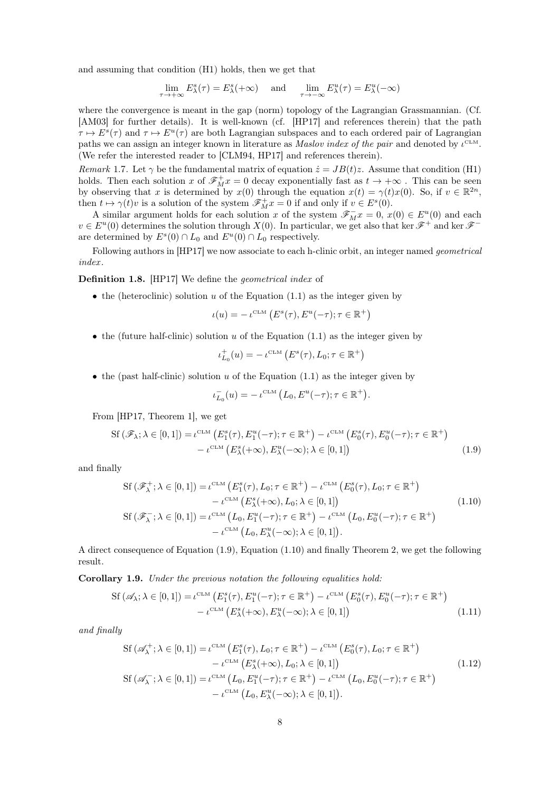and assuming that condition (H1) holds, then we get that

$$
\lim_{\tau \to +\infty} E_{\lambda}^{s}(\tau) = E_{\lambda}^{s}(+\infty) \quad \text{ and } \quad \lim_{\tau \to -\infty} E_{\lambda}^{u}(\tau) = E_{\lambda}^{u}(-\infty)
$$

where the convergence is meant in the gap (norm) topology of the Lagrangian Grassmannian. (Cf. [\[AM03\]](#page-27-6) for further details). It is well-known (cf. [\[HP17\]](#page-28-13) and references therein) that the path  $\tau \mapsto E^s(\tau)$  and  $\tau \mapsto E^u(\tau)$  are both Lagrangian subspaces and to each ordered pair of Lagrangian paths we can assign an integer known in literature as *Maslov index of the pair* and denoted by  $\iota^{\text{CLM}}$ . (We refer the interested reader to [\[CLM94,](#page-27-7) [HP17\]](#page-28-13) and references therein).

<span id="page-7-3"></span>Remark 1.7. Let  $\gamma$  be the fundamental matrix of equation  $\dot{z} = JB(t)z$ . Assume that condition (H1) holds. Then each solution x of  $\mathscr{F}_{M}^{+}x=0$  decay exponentially fast as  $t \to +\infty$ . This can be seen by observing that x is determined by  $x(0)$  through the equation  $x(t) = \gamma(t)x(0)$ . So, if  $v \in \mathbb{R}^{2n}$ , then  $t \mapsto \gamma(t)v$  is a solution of the system  $\mathscr{F}_{M}^{+}x = 0$  if and only if  $v \in E^{s}(0)$ .

A similar argument holds for each solution x of the system  $\mathscr{F}_{M}^{-}x = 0$ ,  $x(0) \in E^{u}(0)$  and each  $v \in E^u(0)$  determines the solution through  $X(0)$ . In particular, we get also that ker  $\mathscr{F}^+$  and ker  $\mathscr{F}^$ are determined by  $E^s(0) \cap L_0$  and  $E^u(0) \cap L_0$  respectively.

Following authors in [\[HP17\]](#page-28-13) we now associate to each h-clinic orbit, an integer named geometrical index .

<span id="page-7-0"></span>Definition 1.8. [\[HP17\]](#page-28-13) We define the geometrical index of

• the (heteroclinic) solution u of the Equation  $(1.1)$  as the integer given by

$$
\iota(u) = -\iota^{\mathrm{CLM}}\left(E^s(\tau), E^u(-\tau); \tau \in \mathbb{R}^+\right)
$$

• the (future half-clinic) solution  $u$  of the Equation [\(1.1\)](#page-3-1) as the integer given by

$$
\iota_{L_0}^+(u)=-\,\iota^{\scriptscriptstyle{\mathrm{CLM}}}\left(E^s(\tau),L_0;\tau\in\mathbb{R}^+\right)
$$

• the (past half-clinic) solution u of the Equation  $(1.1)$  as the integer given by

<span id="page-7-4"></span><span id="page-7-2"></span><span id="page-7-1"></span>
$$
\iota_{L_0}^-(u) = -\iota^{\mathrm{CLM}}\left(L_0, E^u(-\tau); \tau \in \mathbb{R}^+\right).
$$

From [\[HP17,](#page-28-13) Theorem 1], we get

$$
\begin{split} \mathrm{Sf}\left(\mathscr{F}_{\lambda};\lambda\in[0,1]\right) &= \iota^{\mathrm{CLM}}\left(E_1^s(\tau),E_1^u(-\tau);\tau\in\mathbb{R}^+\right) - \iota^{\mathrm{CLM}}\left(E_0^s(\tau),E_0^u(-\tau);\tau\in\mathbb{R}^+\right) \\ &- \iota^{\mathrm{CLM}}\left(E_\lambda^s(+\infty),E_\lambda^u(-\infty);\lambda\in[0,1]\right) \end{split} \tag{1.9}
$$

and finally

$$
\begin{split} \mathrm{Sf}\left(\mathscr{F}_{\lambda}^{+};\lambda\in[0,1]\right) &= \iota^{\mathrm{CLM}}\left(E_{1}^{s}(\tau),L_{0};\tau\in\mathbb{R}^{+}\right) - \iota^{\mathrm{CLM}}\left(E_{0}^{s}(\tau),L_{0};\tau\in\mathbb{R}^{+}\right) \\ &- \iota^{\mathrm{CLM}}\left(E_{\lambda}^{s}(+\infty),L_{0};\lambda\in[0,1]\right) \\ \mathrm{Sf}\left(\mathscr{F}_{\lambda}^{-};\lambda\in[0,1]\right) &= \iota^{\mathrm{CLM}}\left(L_{0},E_{1}^{u}(-\tau);\tau\in\mathbb{R}^{+}\right) - \iota^{\mathrm{CLM}}\left(L_{0},E_{0}^{u}(-\tau);\tau\in\mathbb{R}^{+}\right) \\ &- \iota^{\mathrm{CLM}}\left(L_{0},E_{\lambda}^{u}(-\infty);\lambda\in[0,1]\right). \end{split} \tag{1.10}
$$

A direct consequence of Equation [\(1.9\)](#page-7-1), Equation [\(1.10\)](#page-7-2) and finally Theorem [2,](#page-6-0) we get the following result.

Corollary 1.9. Under the previous notation the following equalities hold:

$$
\mathrm{Sf}\left(\mathscr{A}_{\lambda};\lambda\in[0,1]\right)=\iota^{\mathrm{CLM}}\left(E_{1}^{s}(\tau),E_{1}^{u}(-\tau);\tau\in\mathbb{R}^{+}\right)-\iota^{\mathrm{CLM}}\left(E_{0}^{s}(\tau),E_{0}^{u}(-\tau);\tau\in\mathbb{R}^{+}\right)
$$

$$
-\iota^{\mathrm{CLM}}\left(E_{\lambda}^{s}(+\infty),E_{\lambda}^{u}(-\infty);\lambda\in[0,1]\right) \tag{1.11}
$$

and finally

<span id="page-7-5"></span>
$$
\begin{split} \mathrm{Sf}\left(\mathscr{A}_{\lambda}^{+};\lambda\in[0,1]\right) &= \iota^{\mathrm{CLM}}\left(E_{1}^{s}(\tau),L_{0};\tau\in\mathbb{R}^{+}\right) - \iota^{\mathrm{CLM}}\left(E_{0}^{s}(\tau),L_{0};\tau\in\mathbb{R}^{+}\right) \\ &- \iota^{\mathrm{CLM}}\left(E_{\lambda}^{s}(+\infty),L_{0};\lambda\in[0,1]\right) \\ \mathrm{Sf}\left(\mathscr{A}_{\lambda}^{-};\lambda\in[0,1]\right) &= \iota^{\mathrm{CLM}}\left(L_{0},E_{1}^{u}(-\tau);\tau\in\mathbb{R}^{+}\right) - \iota^{\mathrm{CLM}}\left(L_{0},E_{0}^{u}(-\tau);\tau\in\mathbb{R}^{+}\right) \\ &- \iota^{\mathrm{CLM}}\left(L_{0},E_{\lambda}^{u}(-\infty);\lambda\in[0,1]\right). \end{split} \tag{1.12}
$$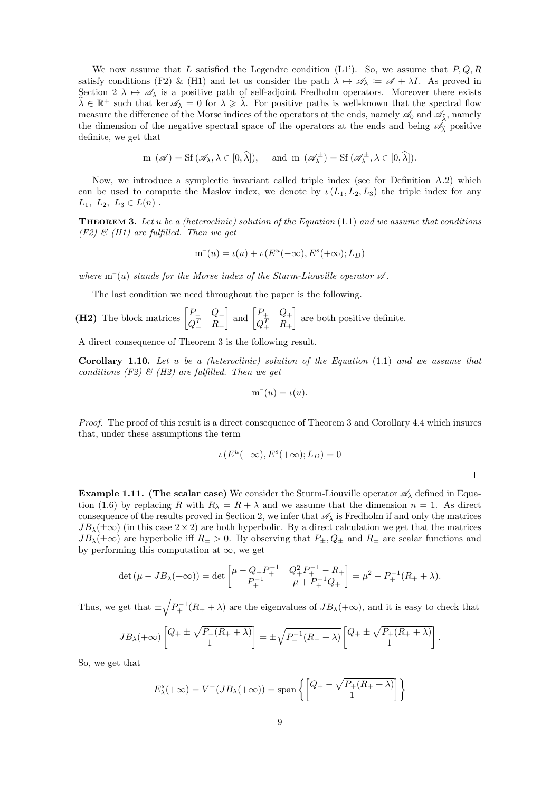We now assume that L satisfied the Legendre condition  $(L1')$ . So, we assume that  $P, Q, R$ satisfy conditions (F2) & (H1) and let us consider the path  $\lambda \mapsto \mathscr{A}_{\lambda} := \mathscr{A} + \lambda I$ . As proved in Section  $2 \lambda \mapsto \mathscr{A}_{\lambda}$  $2 \lambda \mapsto \mathscr{A}_{\lambda}$  is a positive path of self-adjoint Fredholm operators. Moreover there exists  $\widehat{\lambda} \in \mathbb{R}^+$  such that ker  $\mathscr{A}_{\lambda} = 0$  for  $\lambda \geq \widehat{\lambda}$ . For positive paths is well-known that the spectral flow measure the difference of the Morse indices of the operators at the ends, namely  $\mathscr{A}_0$  and  $\mathscr{A}_3$ , namely the dimension of the negative spectral space of the operators at the ends and being  $\mathscr{A}_{\hat{\lambda}}$  positive definite, we get that

$$
\mathbf{m}^-(\mathscr{A}) = \mathrm{Sf}\,(\mathscr{A}_\lambda, \lambda \in [0, \widehat{\lambda}]), \quad \text{and } \mathbf{m}^-(\mathscr{A}_\lambda^\pm) = \mathrm{Sf}\,(\mathscr{A}_\lambda^\pm, \lambda \in [0, \widehat{\lambda}]).
$$

Now, we introduce a symplectic invariant called triple index (see for Definition [A.2\)](#page-25-2) which can be used to compute the Maslov index, we denote by  $\iota(L_1, L_2, L_3)$  the triple index for any  $L_1, L_2, L_3 \in L(n)$ .

<span id="page-8-0"></span>**THEOREM 3.** Let u be a (heteroclinic) solution of the Equation  $(1.1)$  and we assume that conditions  $(F2)$  &  $(H1)$  are fulfilled. Then we get

$$
m^{-}(u) = \iota(u) + \iota\left(E^u(-\infty), E^s(+\infty); L_D\right)
$$

where  $m^-(u)$  stands for the Morse index of the Sturm-Liouville operator  $\mathscr A$ .

The last condition we need throughout the paper is the following.

(H2) The block matrices 
$$
\begin{bmatrix} P_- & Q_- \\ Q_-^T & R_- \end{bmatrix}
$$
 and  $\begin{bmatrix} P_+ & Q_+ \\ Q_+^T & R_+ \end{bmatrix}$  are both positive definite.

A direct consequence of Theorem [3](#page-8-0) is the following result.

Corollary 1.10. Let u be a (heteroclinic) solution of the Equation [\(1.1\)](#page-3-1) and we assume that conditions  $(F2)$  &  $(H2)$  are fulfilled. Then we get

$$
m^-(u) = \iota(u).
$$

Proof. The proof of this result is a direct consequence of Theorem [3](#page-8-0) and Corollary [4.4](#page-22-0) which insures that, under these assumptions the term

$$
\iota\left(E^u(-\infty), E^s(+\infty); L_D\right) = 0
$$

 $\Box$ 

**Example 1.11.** (The scalar case) We consider the Sturm-Liouville operator  $\mathscr{A}_{\lambda}$  defined in Equa-tion [\(1.6\)](#page-5-1) by replacing R with  $R_{\lambda} = R + \lambda$  and we assume that the dimension  $n = 1$ . As direct consequence of the results proved in Section [2,](#page-10-0) we infer that  $\mathscr{A}_{\lambda}$  is Fredholm if and only the matrices  $JB_{\lambda}(\pm\infty)$  (in this case  $2\times2$ ) are both hyperbolic. By a direct calculation we get that the matrices  $JB_{\lambda}(\pm\infty)$  are hyperbolic iff  $R_{\pm} > 0$ . By observing that  $P_{\pm}, Q_{\pm}$  and  $R_{\pm}$  are scalar functions and by performing this computation at  $\infty$ , we get

$$
\det(\mu - JB_{\lambda}(+\infty)) = \det\begin{bmatrix} \mu - Q_+ P_+^{-1} & Q_+^2 P_+^{-1} - R_+ \\ -P_+^{-1} + \mu + P_+^{-1} Q_+ \end{bmatrix} = \mu^2 - P_+^{-1}(R_+ + \lambda).
$$

Thus, we get that  $\pm \sqrt{P_+^{-1}(R_+ + \lambda)}$  are the eigenvalues of  $JB_\lambda(+\infty)$ , and it is easy to check that

$$
JB_{\lambda}(+\infty)\begin{bmatrix} Q_+ \pm \sqrt{P_+(R_+ + \lambda)} \\ 1 \end{bmatrix} = \pm \sqrt{P_+^{-1}(R_+ + \lambda)} \begin{bmatrix} Q_+ \pm \sqrt{P_+(R_+ + \lambda)} \\ 1 \end{bmatrix}.
$$

So, we get that

$$
E_{\lambda}^{s}(+\infty) = V^{-}(JB_{\lambda}(+\infty)) = \text{span}\left\{ \begin{bmatrix} Q_{+} - \sqrt{P_{+}(R_{+}+\lambda)} \\ 1 \end{bmatrix} \right\}
$$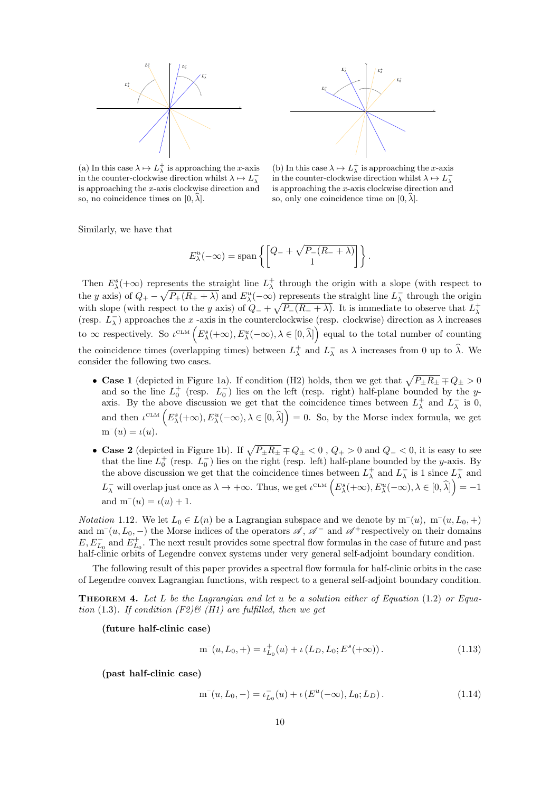<span id="page-9-2"></span>



(a) In this case  $\lambda \mapsto L^+_{\lambda}$  is approaching the *x*-axis in the counter-clockwise direction whilst  $\lambda \mapsto L_{\lambda}^{-}$ is approaching the x-axis clockwise direction and so, no coincidence times on  $[0, \lambda]$ .

(b) In this case  $\lambda \mapsto L^+_{\lambda}$  is approaching the *x*-axis in the counter-clockwise direction whilst  $\lambda \mapsto L_{\lambda}^{-}$ is approaching the x-axis clockwise direction and so, only one coincidence time on  $[0, \lambda]$ .

Similarly, we have that

$$
E_{\lambda}^{u}(-\infty) = \text{span}\left\{ \begin{bmatrix} Q_{-} + \sqrt{P_{-}(R_{-} + \lambda)} \\ 1 \end{bmatrix} \right\}.
$$

Then  $E_{\lambda}^{s}(+\infty)$  represents the straight line  $L_{\lambda}^{+}$  through the origin with a slope (with respect to the y axis) of  $Q_+ - \sqrt{P_+(R_+ + \lambda)}$  and  $E^u_\lambda(-\infty)$  represents the straight line  $L_\lambda^-$  through the origin with slope (with respect to the y axis) of  $Q_{-} + \sqrt{P_{-}(R_{-} + \lambda)}$ . It is immediate to observe that  $L^+_{\lambda}$  (resp.  $L^-_{\lambda}$ ) approaches the x -axis in the counterclockwise (resp. clockwise) direction as  $\lambda$  increases to  $\infty$  respectively. So  $\iota^{\text{CLM}}\left(E_{\lambda}^{s}(+\infty), E_{\lambda}^{u}(-\infty), \lambda \in [0, \widehat{\lambda}]\right)$  equal to the total number of counting the coincidence times (overlapping times) between  $L^+_{\lambda}$  and  $L^-_{\lambda}$  as  $\lambda$  increases from 0 up to  $\hat{\lambda}$ . We consider the following two cases.

- Case 1 (depicted in Figure [1a\)](#page-9-2). If condition (H2) holds, then we get that  $\sqrt{P_{\pm}R_{\pm}} \mp Q_{\pm} > 0$ and so the line  $L_0^+$  (resp.  $L_0^-$ ) lies on the left (resp. right) half-plane bounded by the yaxis. By the above discussion we get that the coincidence times between  $L^+_\lambda$  and  $L^-_\lambda$  is 0, and then  $\iota^{\text{CLM}}\left(E_{\lambda}^{s}(+\infty), E_{\lambda}^{u}(-\infty), \lambda \in [0, \widehat{\lambda}]\right) = 0$ . So, by the Morse index formula, we get  $m^-(u) = \iota(u).$
- Case 2 (depicted in Figure [1b\)](#page-9-2). If  $\sqrt{P_{\pm}R_{\pm}} \mp Q_{\pm} < 0$ ,  $Q_{+} > 0$  and  $Q_{-} < 0$ , it is easy to see that the line  $L_0^+$  (resp.  $L_0^-$ ) lies on the right (resp. left) half-plane bounded by the y-axis. By the above discussion we get that the coincidence times between  $L^+_\lambda$  and  $L^-_\lambda$  is 1 since  $L^+_\lambda$  and  $L_\lambda^-$  will overlap just once as  $\lambda \to +\infty$ . Thus, we get  $\iota^{\text{CLM}}\left(E_\lambda^s(+\infty), E_\lambda^u(-\infty), \lambda \in [0, \widehat{\lambda}] \right) = -1$ and  $m^-(u) = \iota(u) + 1$ .

<span id="page-9-1"></span>*Notation* 1.12. We let  $L_0 \in L(n)$  be a Lagrangian subspace and we denote by  $m^-(u)$ ,  $m^-(u, L_0, +)$ and m<sup>-</sup>(u, L<sub>0</sub>, -) the Morse indices of the operators  $\mathscr{A}, \mathscr{A}^-$  and  $\mathscr{A}^+$ respectively on their domains  $E, E_{L_0}^-$  and  $E_{L_0}^+$ . The next result provides some spectral flow formulas in the case of future and past half-clinic orbits of Legendre convex systems under very general self-adjoint boundary condition.

The following result of this paper provides a spectral flow formula for half-clinic orbits in the case of Legendre convex Lagrangian functions, with respect to a general self-adjoint boundary condition.

<span id="page-9-0"></span>**THEOREM 4.** Let L be the Lagrangian and let u be a solution either of Equation [\(1.2\)](#page-3-2) or Equa-tion [\(1.3\)](#page-4-0). If condition  $(F2)$   $\mathcal{B}$  (H1) are fulfilled, then we get

(future half-clinic case)

<span id="page-9-3"></span>
$$
m^{-}(u, L_0, +) = \iota_{L_0}^{+}(u) + \iota(L_D, L_0; E^s(+\infty)).
$$
\n(1.13)

(past half-clinic case)

m–

<span id="page-9-4"></span>
$$
\mathbf{n}^-(u, L_0, -) = \iota_{L_0}^-(u) + \iota\left(E^u(-\infty), L_0; L_D\right). \tag{1.14}
$$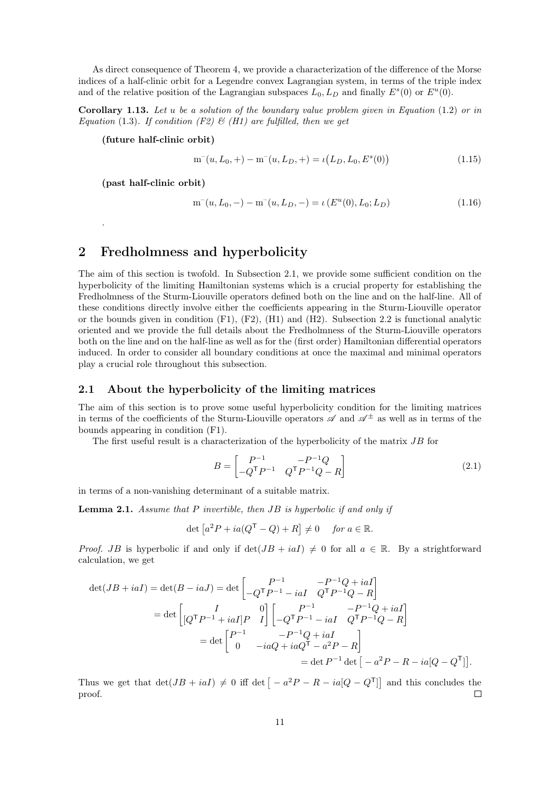As direct consequence of Theorem [4,](#page-9-0) we provide a characterization of the difference of the Morse indices of a half-clinic orbit for a Legendre convex Lagrangian system, in terms of the triple index and of the relative position of the Lagrangian subspaces  $L_0, L_D$  and finally  $E<sup>s</sup>(0)$  or  $E<sup>u</sup>(0)$ .

<span id="page-10-2"></span>**Corollary 1.13.** Let u be a solution of the boundary value problem given in Equation  $(1.2)$  or in Equation [\(1.3\)](#page-4-0). If condition (F2)  $\mathcal{B}$  (H1) are fulfilled, then we get

(future half-clinic orbit)

<span id="page-10-5"></span>
$$
m^{-}(u, L_0, +) - m^{-}(u, L_D, +) = \iota(L_D, L_0, E^{s}(0))
$$
\n(1.15)

(past half-clinic orbit)

.

<span id="page-10-6"></span>
$$
m^{-}(u, L_0, -) - m^{-}(u, L_D, -) = \iota(E^u(0), L_0; L_D)
$$
\n(1.16)

### <span id="page-10-0"></span>2 Fredholmness and hyperbolicity

The aim of this section is twofold. In Subsection [2.1,](#page-10-1) we provide some sufficient condition on the hyperbolicity of the limiting Hamiltonian systems which is a crucial property for establishing the Fredholmness of the Sturm-Liouville operators defined both on the line and on the half-line. All of these conditions directly involve either the coefficients appearing in the Sturm-Liouville operator or the bounds given in condition  $(F1)$ ,  $(F2)$ ,  $(H1)$  and  $(H2)$ . Subsection [2.2](#page-12-0) is functional analytic oriented and we provide the full details about the Fredholmness of the Sturm-Liouville operators both on the line and on the half-line as well as for the (first order) Hamiltonian differential operators induced. In order to consider all boundary conditions at once the maximal and minimal operators play a crucial role throughout this subsection.

#### <span id="page-10-1"></span>2.1 About the hyperbolicity of the limiting matrices

The aim of this section is to prove some useful hyperbolicity condition for the limiting matrices in terms of the coefficients of the Sturm-Liouville operators  $\mathscr A$  and  $\mathscr A^{\pm}$  as well as in terms of the bounds appearing in condition (F1).

The first useful result is a characterization of the hyperbolicity of the matrix JB for

<span id="page-10-4"></span>
$$
B = \begin{bmatrix} P^{-1} & -P^{-1}Q \\ -Q^{\mathsf{T}}P^{-1} & Q^{\mathsf{T}}P^{-1}Q - R \end{bmatrix}
$$
 (2.1)

in terms of a non-vanishing determinant of a suitable matrix.

<span id="page-10-3"></span>**Lemma 2.1.** Assume that  $P$  invertible, then  $JB$  is hyperbolic if and only if

$$
\det\left[a^2P + ia(Q^{\mathsf{T}} - Q) + R\right] \neq 0 \quad \text{for } a \in \mathbb{R}.
$$

*Proof.* JB is hyperbolic if and only if  $det(JB + iaI) \neq 0$  for all  $a \in \mathbb{R}$ . By a strightforward calculation, we get

$$
\det(JB + iaI) = \det(B - iaJ) = \det\begin{bmatrix} P^{-1} & -P^{-1}Q + iaI \\ -Q^TP^{-1} - iaI & Q^TP^{-1}Q - R \end{bmatrix}
$$

$$
= \det\begin{bmatrix} I & 0 \\ \left[Q^TP^{-1} + iaI\right]P & I \end{bmatrix} \begin{bmatrix} P^{-1} & -P^{-1}Q + iaI \\ -Q^TP^{-1} - iaI & Q^TP^{-1}Q - R \end{bmatrix}
$$

$$
= \det\begin{bmatrix} P^{-1} & -P^{-1}Q + iaI \\ 0 & -iaQ + iaQ^T - a^2P - R \end{bmatrix}
$$

$$
= \det P^{-1} \det\begin{bmatrix} -a^2P - R - ia[Q - Q^T] \end{bmatrix}.
$$

Thus we get that  $\det(JB + iaI) \neq 0$  iff  $\det \left[ -a^2P - R - ia[Q - Q^{\mathsf{T}}] \right]$  and this concludes the proof.  $\Box$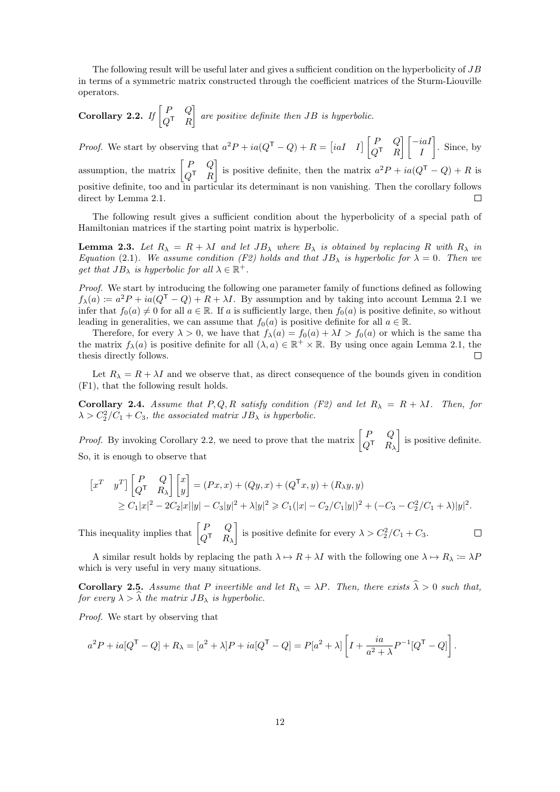The following result will be useful later and gives a sufficient condition on the hyperbolicity of JB in terms of a symmetric matrix constructed through the coefficient matrices of the Sturm-Liouville operators.

<span id="page-11-0"></span>Corollary 2.2. If 
$$
\begin{bmatrix} P & Q \\ Q^T & R \end{bmatrix}
$$
 are positive definite then  $JB$  is hyperbolic.

*Proof.* We start by observing that  $a^2P + ia(Q^T - Q) + R = \begin{bmatrix} iaI & I \end{bmatrix} \begin{bmatrix} P & Q \\ O & R \end{bmatrix}$  $\lceil -iaI \rceil$  . Since, by  $Q^{\mathsf{T}}$  R I assumption, the matrix  $\begin{bmatrix} P & Q \\ O \end{bmatrix}$ is positive definite, then the matrix  $a^2P + ia(Q^{\mathsf{T}} - Q) + R$  is  $Q^{\mathsf{T}}$  R positive definite, too and in particular its determinant is non vanishing. Then the corollary follows direct by Lemma [2.1.](#page-10-3)  $\Box$ 

The following result gives a sufficient condition about the hyperbolicity of a special path of Hamiltonian matrices if the starting point matrix is hyperbolic.

<span id="page-11-2"></span>**Lemma 2.3.** Let  $R_{\lambda} = R + \lambda I$  and let  $JB_{\lambda}$  where  $B_{\lambda}$  is obtained by replacing R with  $R_{\lambda}$  in Equation [\(2.1\)](#page-10-4). We assume condition (F2) holds and that  $JB_{\lambda}$  is hyperbolic for  $\lambda = 0$ . Then we get that  $JB_{\lambda}$  is hyperbolic for all  $\lambda \in \mathbb{R}^+$ .

Proof. We start by introducing the following one parameter family of functions defined as following  $f_{\lambda}(a) \coloneqq a^2 P + ia(Q^{\mathsf{T}} - Q) + R + \lambda I$ . By assumption and by taking into account Lemma [2.1](#page-10-3) we infer that  $f_0(a) \neq 0$  for all  $a \in \mathbb{R}$ . If a is sufficiently large, then  $f_0(a)$  is positive definite, so without leading in generalities, we can assume that  $f_0(a)$  is positive definite for all  $a \in \mathbb{R}$ .

Therefore, for every  $\lambda > 0$ , we have that  $f_{\lambda}(a) = f_0(a) + \lambda I > f_0(a)$  or which is the same tha the matrix  $f_{\lambda}(a)$  is positive definite for all  $(\lambda, a) \in \mathbb{R}^+ \times \mathbb{R}$ . By using once again Lemma [2.1,](#page-10-3) the thesis directly follows.  $\Box$ 

Let  $R_{\lambda} = R + \lambda I$  and we observe that, as direct consequence of the bounds given in condition (F1), that the following result holds.

Corollary 2.4. Assume that P, Q, R satisfy condition (F2) and let  $R_{\lambda} = R + \lambda I$ . Then, for  $\lambda > C_2^2/C_1 + C_3$ , the associated matrix  $JB_\lambda$  is hyperbolic.

*Proof.* By invoking Corollary [2.2,](#page-11-0) we need to prove that the matrix  $\begin{bmatrix} P & Q \\ O \end{bmatrix}$  $Q^{\mathsf{T}}$   $R_{\lambda}$  is positive definite. So, it is enough to observe that

$$
\begin{aligned} \begin{bmatrix} x^T & y^T \end{bmatrix} \begin{bmatrix} P & Q \\ Q^T & R_\lambda \end{bmatrix} \begin{bmatrix} x \\ y \end{bmatrix} &= (Px, x) + (Qy, x) + (Q^T x, y) + (R_\lambda y, y) \\ &\geq C_1 |x|^2 - 2C_2 |x||y| - C_3 |y|^2 + \lambda |y|^2 \geq C_1 (|x| - C_2/C_1 |y|)^2 + (-C_3 - C_2^2/C_1 + \lambda) |y|^2. \end{aligned}
$$

This inequality implies that  $\begin{bmatrix} P & Q \\ O \end{bmatrix}$ is positive definite for every  $\lambda > C_2^2/C_1 + C_3$ .  $\Box$  $Q^{\mathsf{T}}$   $R_{\lambda}$ 

A similar result holds by replacing the path  $\lambda \mapsto R + \lambda I$  with the following one  $\lambda \mapsto R_{\lambda} := \lambda P$ which is very useful in very many situations.

<span id="page-11-1"></span>**Corollary 2.5.** Assume that P invertible and let  $R_{\lambda} = \lambda P$ . Then, there exists  $\hat{\lambda} > 0$  such that, for every  $\lambda > \widehat{\lambda}$  the matrix  $JB_{\lambda}$  is hyperbolic.

Proof. We start by observing that

$$
a^2P + ia[Q^{\mathsf{T}} - Q] + R_{\lambda} = [a^2 + \lambda]P + ia[Q^{\mathsf{T}} - Q] = P[a^2 + \lambda] \left[ I + \frac{ia}{a^2 + \lambda} P^{-1} [Q^{\mathsf{T}} - Q] \right].
$$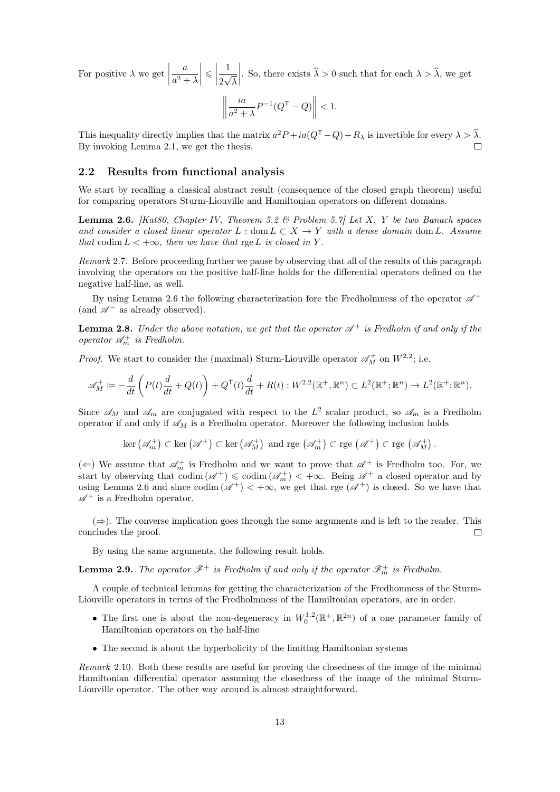For positive  $\lambda$  we get  $\Big|$ a  $a^2 + \lambda$   $\leq$ 1 2 √ λ . So, there exists  $\widehat{\lambda} > 0$  such that for each  $\lambda > \widehat{\lambda}$ , we get

$$
\left\| \frac{ia}{a^2 + \lambda} P^{-1} (Q^{\mathsf{T}} - Q) \right\| < 1.
$$

This inequality directly implies that the matrix  $a^2P + ia(Q^T - Q) + R_\lambda$  is invertible for every  $\lambda > \lambda$ . By invoking Lemma [2.1,](#page-10-3) we get the thesis.

#### <span id="page-12-0"></span>2.2 Results from functional analysis

We start by recalling a classical abstract result (consequence of the closed graph theorem) useful for comparing operators Sturm-Liouville and Hamiltonian operators on different domains.

<span id="page-12-1"></span>**Lemma 2.6.** [\[Kat80,](#page-28-15) Chapter IV, Theorem 5.2  $\&$  Problem 5.7] Let X, Y be two Banach spaces and consider a closed linear operator  $L : dom L \subset X \to Y$  with a dense domain dom L. Assume that codim  $L < +\infty$ , then we have that rge L is closed in Y.

<span id="page-12-3"></span>Remark 2.7. Before proceeding further we pause by observing that all of the results of this paragraph involving the operators on the positive half-line holds for the differential operators defined on the negative half-line, as well.

By using Lemma [2.6](#page-12-1) the following characterization fore the Fredholmness of the operator  $\mathscr{A}^+$ (and  $\mathcal{A}^-$  as already observed).

<span id="page-12-2"></span>**Lemma 2.8.** Under the above notation, we get that the operator  $\mathscr{A}^+$  is Fredholm if and only if the operator  $\mathcal{A}_m^+$  is Fredholm.

*Proof.* We start to consider the (maximal) Sturm-Liouville operator  $\mathscr{A}_{M}^{+}$  on  $W^{2,2}$ ; i.e.

$$
\mathscr{A}_M^+ := -\frac{d}{dt}\left(P(t)\frac{d}{dt} + Q(t)\right) + Q^{\mathsf{T}}(t)\frac{d}{dt} + R(t): W^{2,2}(\mathbb{R}^+, \mathbb{R}^n) \subset L^2(\mathbb{R}^+; \mathbb{R}^n) \to L^2(\mathbb{R}^+; \mathbb{R}^n).
$$

Since  $\mathscr{A}_M$  and  $\mathscr{A}_m$  are conjugated with respect to the  $L^2$  scalar product, so  $\mathscr{A}_m$  is a Fredholm operator if and only if  $\mathscr{A}_M$  is a Fredholm operator. Moreover the following inclusion holds

$$
\ker\left(\mathscr{A}_m^+\right) \subset \ker\left(\mathscr{A}^+\right) \subset \ker\left(\mathscr{A}_M^+\right) \text{ and rge } \left(\mathscr{A}_m^+\right) \subset \mathrm{rge}\left(\mathscr{A}^+\right) \subset \mathrm{rge}\left(\mathscr{A}_M^+\right).
$$

( $\Leftarrow$ ) We assume that  $\mathscr{A}_m^+$  is Fredholm and we want to prove that  $\mathscr{A}^+$  is Fredholm too. For, we start by observing that  $\operatorname{codim}(\mathscr{A}^+) \leq \operatorname{codim}(\mathscr{A}_m^+) < +\infty$ . Being  $\mathscr{A}^+$  a closed operator and by using Lemma [2.6](#page-12-1) and since  $\text{codim}(\mathscr{A}^+) < +\infty$ , we get that rge  $(\mathscr{A}^+)$  is closed. So we have that  $\mathscr{A}^+$  is a Fredholm operator.

 $(\Rightarrow)$ . The converse implication goes through the same arguments and is left to the reader. This concludes the proof.  $\Box$ 

By using the same arguments, the following result holds.

**Lemma 2.9.** The operator  $\mathscr{F}^+$  is Fredholm if and only if the operator  $\mathscr{F}^+_{m}$  is Fredholm.

A couple of technical lemmas for getting the characterization of the Fredhomness of the Sturm-Liouville operators in terms of the Fredholmness of the Hamiltonian operators, are in order.

- The first one is about the non-degeneracy in  $W_0^{1,2}(\mathbb{R}^+,\mathbb{R}^{2n})$  of a one parameter family of Hamiltonian operators on the half-line
- The second is about the hyperbolicity of the limiting Hamiltonian systems

Remark 2.10. Both these results are useful for proving the closedness of the image of the minimal Hamiltonian differential operator assuming the closedness of the image of the minimal Sturm-Liouville operator. The other way around is almost straightforward.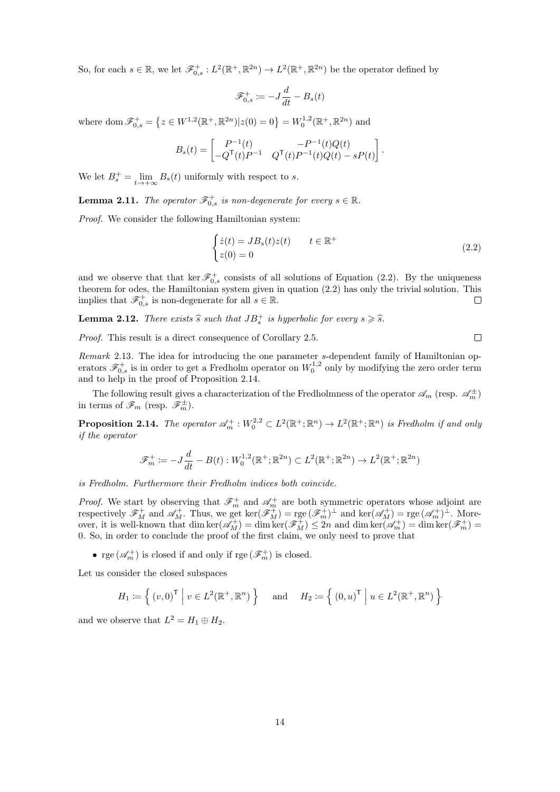So, for each  $s \in \mathbb{R}$ , we let  $\mathscr{F}_{0,s}^+ : L^2(\mathbb{R}^+, \mathbb{R}^{2n}) \to L^2(\mathbb{R}^+, \mathbb{R}^{2n})$  be the operator defined by

$$
\mathscr{F}_{0,s}^+ \coloneqq -J\frac{d}{dt} - B_s(t)
$$

where dom  $\mathscr{F}_{0,s}^+ = \left\{ z \in W^{1,2}(\mathbb{R}^+,\mathbb{R}^{2n}) | z(0) = 0 \right\} = W_0^{1,2}(\mathbb{R}^+,\mathbb{R}^{2n})$  and

$$
B_s(t) = \begin{bmatrix} P^{-1}(t) & -P^{-1}(t)Q(t) \\ -Q^{\mathsf{T}}(t)P^{-1} & Q^{\mathsf{T}}(t)P^{-1}(t)Q(t) - sP(t) \end{bmatrix}.
$$

We let  $B_s^+ = \lim_{t \to +\infty} B_s(t)$  uniformly with respect to s.

<span id="page-13-3"></span>**Lemma 2.11.** The operator  $\mathscr{F}_{0,s}^+$  is non-degenerate for every  $s \in \mathbb{R}$ .

Proof. We consider the following Hamiltonian system:

$$
\begin{cases}\n\dot{z}(t) = JB_s(t)z(t) & t \in \mathbb{R}^+ \\
z(0) = 0\n\end{cases}
$$
\n(2.2)

and we observe that that ker  $\mathscr{F}^+_{0,s}$  consists of all solutions of Equation [\(2.2\)](#page-13-0). By the uniqueness theorem for odes, the Hamiltonian system given in quation [\(2.2\)](#page-13-0) has only the trivial solution. This implies that  $\mathscr{F}_{0,s}^+$  is non-degenerate for all  $s \in \mathbb{R}$ .  $\Box$ 

<span id="page-13-2"></span>**Lemma 2.12.** There exists  $\hat{s}$  such that  $JB_s^+$  is hyperbolic for every  $s \geqslant \hat{s}$ .

Proof. This result is a direct consequence of Corollary [2.5.](#page-11-1)

Remark 2.13. The idea for introducing the one parameter s-dependent family of Hamiltonian operators  $\mathscr{F}^+_{0,s}$  is in order to get a Fredholm operator on  $W_0^{1,2}$  only by modifying the zero order term and to help in the proof of Proposition [2.14.](#page-13-1)

The following result gives a characterization of the Fredholmness of the operator  $\mathscr{A}_m$  (resp.  $\mathscr{A}_m^{\pm}$ ) in terms of  $\mathscr{F}_m$  (resp.  $\mathscr{F}_m^{\pm}$ ).

<span id="page-13-1"></span>**Proposition 2.14.** The operator  $\mathscr{A}_m^+ : W_0^{2,2} \subset L^2(\mathbb{R}^+;\mathbb{R}^n) \to L^2(\mathbb{R}^+;\mathbb{R}^n)$  is Fredholm if and only if the operator

$$
\mathscr{F}_m^+ := -J\frac{d}{dt} - B(t) : W_0^{1,2}(\mathbb{R}^+; \mathbb{R}^{2n}) \subset L^2(\mathbb{R}^+; \mathbb{R}^{2n}) \to L^2(\mathbb{R}^+; \mathbb{R}^{2n})
$$

is Fredholm. Furthermore their Fredholm indices both coincide.

*Proof.* We start by observing that  $\mathscr{F}_m^+$  and  $\mathscr{A}_m^+$  are both symmetric operators whose adjoint are respectively  $\mathscr{F}_{M}^{+}$  and  $\mathscr{A}_{M}^{+}$ . Thus, we get ker $(\mathscr{F}_{M}^{+}) =$  rge  $(\mathscr{F}_{m}^{+})^{\perp}$  and ker $(\mathscr{A}_{M}^{+})$  = rge  $(\mathscr{A}_{m}^{+})^{\perp}$ . Moreover, it is well-known that  $\dim \ker(\mathscr{A}_M^+) = \dim \ker(\mathscr{F}_M^+) \leq 2n$  and  $\dim \ker(\mathscr{A}_m^+) = \dim \ker(\mathscr{F}_m^+) =$ 0. So, in order to conclude the proof of the first claim, we only need to prove that

 $\bullet\ \operatorname{rge}\left(\mathscr{A}_m^+\right)$  is closed if and only if  $\operatorname{rge}\left(\mathscr{F}_m^+\right)$  is closed.

Let us consider the closed subspaces

$$
H_1 := \left\{ (v, 0)^{\top} \mid v \in L^2(\mathbb{R}^+, \mathbb{R}^n) \right\} \text{ and } H_2 := \left\{ (0, u)^{\top} \mid u \in L^2(\mathbb{R}^+, \mathbb{R}^n) \right\}
$$

and we observe that  $L^2 = H_1 \oplus H_2$ .

<span id="page-13-0"></span> $\Box$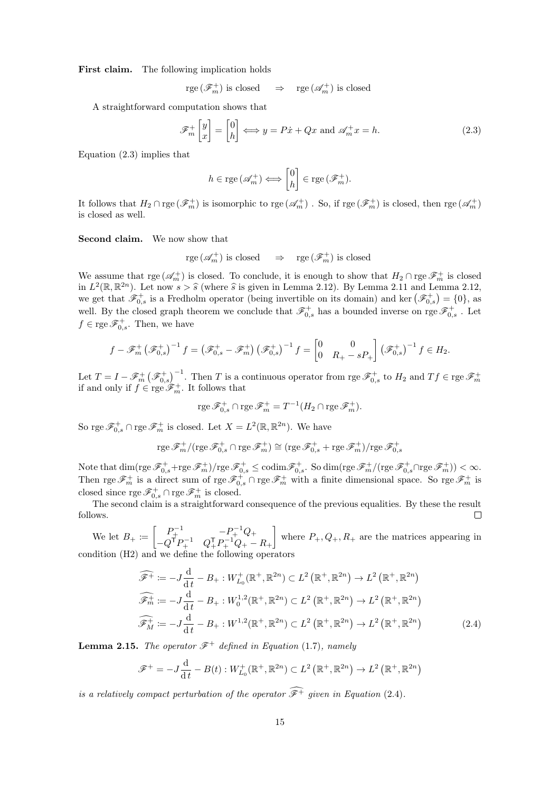First claim. The following implication holds

 $rge(\mathscr{F}_m^+)$  is closed  $\Rightarrow$   $rge(\mathscr{A}_m^+)$  is closed

A straightforward computation shows that

$$
\mathscr{F}_m^+\begin{bmatrix} y \\ x \end{bmatrix} = \begin{bmatrix} 0 \\ h \end{bmatrix} \Longleftrightarrow y = P\dot{x} + Qx \text{ and } \mathscr{A}_m^+ x = h. \tag{2.3}
$$

Equation [\(2.3\)](#page-14-0) implies that

<span id="page-14-0"></span>
$$
h \in \text{rge} \left( \mathscr{A}_m^+ \right) \Longleftrightarrow \begin{bmatrix} 0 \\ h \end{bmatrix} \in \text{rge} \left( \mathscr{F}_m^+ \right).
$$

It follows that  $H_2 \cap \text{rge}(\mathscr{F}_m^+)$  is isomorphic to  $\text{rge}(\mathscr{A}_m^+)$ . So, if  $\text{rge}(\mathscr{F}_m^+)$  is closed, then  $\text{rge}(\mathscr{A}_m^+)$ is closed as well.

Second claim. We now show that

$$
\mathrm{rge}\left(\mathscr{A}_m^+\right) \mathrm{\ is\ closed}\quad \Rightarrow\quad \mathrm{rge}\left(\mathscr{F}_m^+\right) \mathrm{\ is\ closed}
$$

We assume that  $\text{rge}(\mathscr{A}_m^+)$  is closed. To conclude, it is enough to show that  $H_2 \cap \text{rge} \mathscr{F}_m^+$  is closed in  $L^2(\mathbb{R}, \mathbb{R}^{2n})$ . Let now  $s > \hat{s}$  (where  $\hat{s}$  is given in Lemma [2.12\)](#page-13-2). By Lemma [2.11](#page-13-3) and Lemma [2.12,](#page-13-2)<br>we get that  $\mathscr{F}^+$  is a Fredholm operator (being invertible on its domain) and  $\ker(\mathscr{F}^+) = 0$ ), as we get that  $\mathscr{F}^+_{0,s}$  is a Fredholm operator (being invertible on its domain) and ker  $(\mathscr{F}^+_{0,s}) = \{0\}$ , as well. By the closed graph theorem we conclude that  $\mathscr{F}^+_{0,s}$  has a bounded inverse on rge  $\mathscr{F}^+_{0,s}$ . Let  $f \in \text{rge } \mathscr{F}_{0,s}^+$ . Then, we have

$$
f - \mathscr{F}_m^+ \left( \mathscr{F}_{0,s}^+ \right)^{-1} f = \left( \mathscr{F}_{0,s}^+ - \mathscr{F}_m^+ \right) \left( \mathscr{F}_{0,s}^+ \right)^{-1} f = \begin{bmatrix} 0 & 0 \\ 0 & R_+ - sP_+ \end{bmatrix} \left( \mathscr{F}_{0,s}^+ \right)^{-1} f \in H_2.
$$

Let  $T = I - \mathscr{F}_m^+ \left( \mathscr{F}_{0,s}^+ \right)^{-1}$ . Then T is a continuous operator from rge  $\mathscr{F}_{0,s}^+$  to  $H_2$  and  $Tf \in \text{rge } \mathscr{F}_m^+$ <br>if and only if  $f \in \text{rge } \mathscr{F}_m^+$ . It follows that

$$
\operatorname{rge}\mathscr{F}_{0,s}^+\cap \operatorname{rge}\mathscr{F}_m^+=T^{-1}(H_2\cap \operatorname{rge}\mathscr{F}_m^+).
$$

So rge  $\mathscr{F}_{0,s}^+ \cap$  rge  $\mathscr{F}_m^+$  is closed. Let  $X = L^2(\mathbb{R}, \mathbb{R}^{2n})$ . We have

$$
\mathrm{rge}\, \mathscr{F}_m^+ / (\mathrm{rge}\, \mathscr{F}_{0,s}^+ \cap \mathrm{rge}\, \mathscr{F}_m^+) \cong (\mathrm{rge}\, \mathscr{F}_{0,s}^+ + \mathrm{rge}\, \mathscr{F}_m^+) / \mathrm{rge}\, \mathscr{F}_{0,s}^+
$$

Note that  $\dim(\mathrm{rge}\mathscr{F}_{0,s}^++\mathrm{rge}\mathscr{F}_m^+) / \mathrm{rge}\mathscr{F}_{0,s}^+ \leq \mathrm{codim}\mathscr{F}_{0,s}^+$ . So  $\dim(\mathrm{rge}\mathscr{F}_m^+ / (\mathrm{rge}\mathscr{F}_{0,s}^+ \cap \mathrm{rge}\mathscr{F}_m^+)) < \infty$ . Then rge  $\mathscr{F}_m^+$  is a direct sum of rge  $\mathscr{F}_{0,s}^+ \cap$  rge  $\mathscr{F}_m^+$  with a finite dimensional space. So rge  $\mathscr{F}_m^+$  is closed since  $\text{rge }\mathscr{F}_{0,s}^+\cap\text{rge }\mathscr{F}_m^+$  is closed.

The second claim is a straightforward consequence of the previous equalities. By these the result follows.  $\Box$ 

We let  $B_+ := \begin{bmatrix} P_+^{-1} & -P_+^{-1}Q_+ \ \sqrt{P_+}P_-^{-1} & \sqrt{P_-}P_-^{-1}Q_+ \end{bmatrix}$  $-Q^{\mathsf{T}}P_+^{-1} \quad Q_+^{\mathsf{T}}P_+^{-1}Q_+ - R_+$ where  $P_+, Q_+, R_+$  are the matrices appearing in condition  $(H2)$  and we define the following

$$
\widehat{\mathcal{F}}^{+} := -J\frac{d}{dt} - B_{+} : W_{L_{0}}^{+}(\mathbb{R}^{+}, \mathbb{R}^{2n}) \subset L^{2}(\mathbb{R}^{+}, \mathbb{R}^{2n}) \to L^{2}(\mathbb{R}^{+}, \mathbb{R}^{2n})
$$
  

$$
\widehat{\mathcal{F}}_{m}^{+} := -J\frac{d}{dt} - B_{+} : W_{0}^{1,2}(\mathbb{R}^{+}, \mathbb{R}^{2n}) \subset L^{2}(\mathbb{R}^{+}, \mathbb{R}^{2n}) \to L^{2}(\mathbb{R}^{+}, \mathbb{R}^{2n})
$$
  

$$
\widehat{\mathcal{F}}_{M}^{+} := -J\frac{d}{dt} - B_{+} : W^{1,2}(\mathbb{R}^{+}, \mathbb{R}^{2n}) \subset L^{2}(\mathbb{R}^{+}, \mathbb{R}^{2n}) \to L^{2}(\mathbb{R}^{+}, \mathbb{R}^{2n})
$$
(2.4)

<span id="page-14-2"></span>**Lemma 2.15.** The operator  $\mathscr{F}^+$  defined in Equation [\(1.7\)](#page-5-2), namely

<span id="page-14-1"></span>
$$
\mathscr{F}^+ = -J\frac{\mathrm{d}}{\mathrm{d}t} - B(t) : W^+_{L_0}(\mathbb{R}^+, \mathbb{R}^{2n}) \subset L^2(\mathbb{R}^+, \mathbb{R}^{2n}) \to L^2(\mathbb{R}^+, \mathbb{R}^{2n})
$$

is a relatively compact perturbation of the operator  $\widehat{\mathcal{F}^+}$  given in Equation [\(2.4\)](#page-14-1).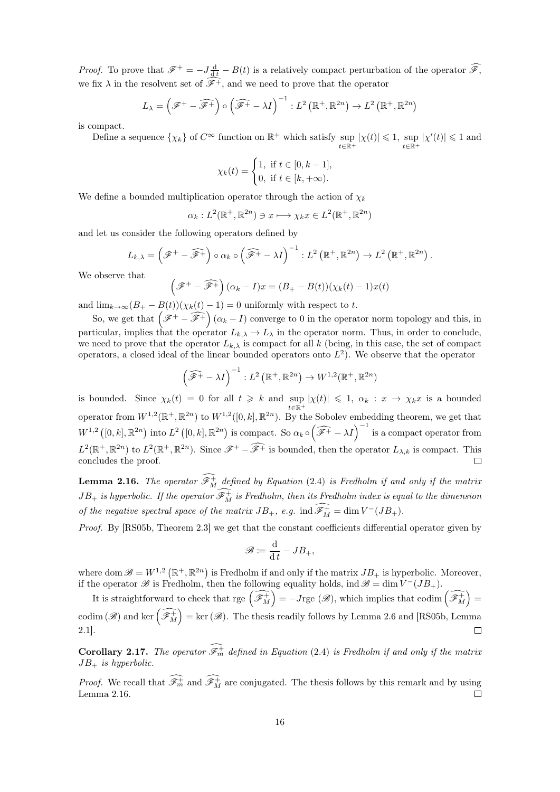*Proof.* To prove that  $\mathscr{F}^+ = -J\frac{d}{dt} - B(t)$  is a relatively compact perturbation of the operator  $\mathscr{F}$ , we fix  $\lambda$  in the resolvent set of  $\mathscr{F}^+$ , and we need to prove that the operator

$$
L_{\lambda} = \left(\mathscr{F}^+ - \widehat{\mathscr{F}^+}\right) \circ \left(\widehat{\mathscr{F}^+} - \lambda I\right)^{-1} : L^2\left(\mathbb{R}^+, \mathbb{R}^{2n}\right) \to L^2\left(\mathbb{R}^+, \mathbb{R}^{2n}\right)
$$

is compact.

Define a sequence  $\{\chi_k\}$  of  $C^{\infty}$  function on  $\mathbb{R}^+$  which satisfy sup  $t \in \mathbb{R}^+$  $|\chi(t)| \leq 1$ , sup t∈R<sup>+</sup>  $|\chi'(t)| \leq 1$  and

$$
\chi_k(t) = \begin{cases} 1, & \text{if } t \in [0, k-1], \\ 0, & \text{if } t \in [k, +\infty). \end{cases}
$$

We define a bounded multiplication operator through the action of  $\chi_k$ 

 $\alpha_k : L^2(\mathbb{R}^+,\mathbb{R}^{2n}) \ni x \longmapsto \chi_k x \in L^2(\mathbb{R}^+,\mathbb{R}^{2n})$ 

and let us consider the following operators defined by

$$
L_{k,\lambda} = \left(\mathscr{F}^+ - \widehat{\mathscr{F}^+}\right) \circ \alpha_k \circ \left(\widehat{\mathscr{F}^+} - \lambda I\right)^{-1} : L^2\left(\mathbb{R}^+, \mathbb{R}^{2n}\right) \to L^2\left(\mathbb{R}^+, \mathbb{R}^{2n}\right).
$$

We observe that

$$
(\mathscr{F}^+ - \widehat{\mathscr{F}^+}) (\alpha_k - I)x = (B_+ - B(t))(\chi_k(t) - 1)x(t)
$$

and  $\lim_{k\to\infty} (B_+ - B(t))(\chi_k(t) - 1) = 0$  uniformly with respect to t.

So, we get that  $(\mathscr{F}^+ - \widehat{\mathscr{F}^+}) (\alpha_k - I)$  converge to 0 in the operator norm topology and this, in particular, implies that the operator  $L_{k,\lambda} \to L_{\lambda}$  in the operator norm. Thus, in order to conclude, we need to prove that the operator  $L_{k,\lambda}$  is compact for all k (being, in this case, the set of compact operators, a closed ideal of the linear bounded operators onto  $L^2$ ). We observe that the operator

$$
\left(\widehat{\mathscr{F}^+} - \lambda I\right)^{-1} : L^2\left(\mathbb{R}^+, \mathbb{R}^{2n}\right) \to W^{1,2}(\mathbb{R}^+, \mathbb{R}^{2n})
$$

is bounded. Since  $\chi_k(t) = 0$  for all  $t \geq k$  and  $\sup_{t \in \mathbb{R}^+} |\chi(t)| \leq 1$ ,  $\alpha_k : x \to \chi_k x$  is a bounded operator from  $W^{1,2}(\mathbb{R}^+,\mathbb{R}^{2n})$  to  $W^{1,2}([0,k],\mathbb{R}^{2n})$ . By the Sobolev embedding theorem, we get that  $W^{1,2}([0,k], \mathbb{R}^{2n})$  into  $L^2([0,k], \mathbb{R}^{2n})$  is compact. So  $\alpha_k \circ (\widehat{\mathscr{F}^+} - \lambda I)^{-1}$  is a compact operator from  $L^2(\mathbb{R}^+,\mathbb{R}^{2n})$  to  $L^2(\mathbb{R}^+,\mathbb{R}^{2n})$ . Since  $\mathscr{F}^+$  –  $\widehat{\mathscr{F}^+}$  is bounded, then the operator  $L_{\lambda,k}$  is compact. This concludes the proof.

<span id="page-15-0"></span>**Lemma 2.16.** The operator  $\mathscr{F}_{M}^{+}$  defined by Equation [\(2.4\)](#page-14-1) is Fredholm if and only if the matrix  $JB_+$  is hyperbolic. If the operator  $\mathscr{F}^+_M$  is Fredholm, then its Fredholm index is equal to the dimension of the negative spectral space of the matrix  $JB_+$ , e.g.  $\text{ind } \mathscr{F}^+_{M} = \dim V^-(JB_+)$ .

Proof. By [\[RS05b,](#page-29-1) Theorem 2.3] we get that the constant coefficients differential operator given by

$$
\mathscr{B} \coloneqq \frac{\mathrm{d}}{\mathrm{d}\,t} - JB_+,
$$

where dom  $\mathscr{B} = W^{1,2} (\mathbb{R}^+, \mathbb{R}^{2n})$  is Fredholm if and only if the matrix  $JB_+$  is hyperbolic. Moreover, if the operator  $\mathscr B$  is Fredholm, then the following equality holds, ind  $\mathscr B = \dim V^-(JB_+)$ .

It is straightforward to check that rge  $\left(\widehat{\mathscr{F}}_M^+\right) = -J$ rge  $(\mathscr{B})$ , which implies that codim  $\left(\widehat{\mathscr{F}}_M^+\right) =$  $\text{codim}(\mathscr{B})$  and ker  $\left(\widehat{\mathscr{F}^+_{M}}\right) = \text{ker}(\mathscr{B})$ . The thesis readily follows by Lemma [2.6](#page-12-1) and [\[RS05b,](#page-29-1) Lemma 2.1].  $\Box$ 

<span id="page-15-1"></span>**Corollary 2.17.** The operator  $\mathcal{F}_m^+$  defined in Equation [\(2.4\)](#page-14-1) is Fredholm if and only if the matrix  $JB_+$  is hyperbolic.

*Proof.* We recall that  $\mathscr{F}_m^+$  and  $\mathscr{F}_M^+$  are conjugated. The thesis follows by this remark and by using Lemma [2.16.](#page-15-0)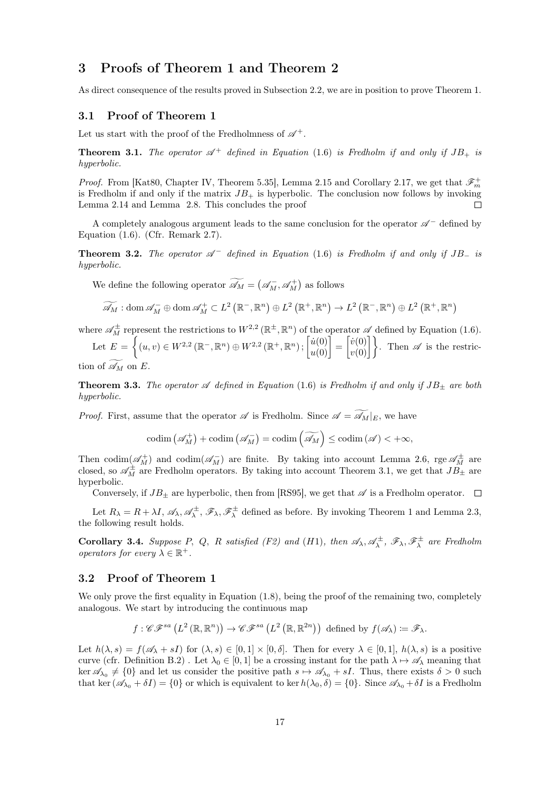### <span id="page-16-0"></span>3 Proofs of Theorem [1](#page-5-0) and Theorem [2](#page-6-0)

As direct consequence of the results proved in Subsection [2.2,](#page-12-0) we are in position to prove Theorem [1.](#page-5-0)

#### <span id="page-16-1"></span>3.1 Proof of Theorem [1](#page-5-0)

Let us start with the proof of the Fredholmness of  $\mathscr{A}^+$ .

<span id="page-16-3"></span>**Theorem 3.1.** The operator  $\mathscr{A}^+$  defined in Equation [\(1.6\)](#page-5-1) is Fredholm if and only if  $JB_+$  is hyperbolic.

*Proof.* From [\[Kat80,](#page-28-15) Chapter IV, Theorem 5.35], Lemma [2.15](#page-14-2) and Corollary [2.17,](#page-15-1) we get that  $\mathscr{F}_m^+$ is Fredholm if and only if the matrix  $JB_{+}$  is hyperbolic. The conclusion now follows by invoking Lemma [2.14](#page-13-1) and Lemma [2.8.](#page-12-2) This concludes the proof П

A completely analogous argument leads to the same conclusion for the operator  $\mathscr{A}^-$  defined by Equation [\(1.6\)](#page-5-1). (Cfr. Remark [2.7\)](#page-12-3).

<span id="page-16-4"></span>**Theorem 3.2.** The operator  $\mathscr{A}^-$  defined in Equation [\(1.6\)](#page-5-1) is Fredholm if and only if  $JB$  is hyperbolic.

We define the following operator  $\widetilde{\mathscr{A}}_M = (\mathscr{A}_M^-, \mathscr{A}_M^+)$  as follows

$$
\widetilde{\mathscr{A}}_M: \mathrm{dom}\, \mathscr{A}_M^- \oplus \mathrm{dom}\, \mathscr{A}_M^+ \subset L^2\left(\mathbb{R}^-, \mathbb{R}^n\right) \oplus L^2\left(\mathbb{R}^+, \mathbb{R}^n\right) \to L^2\left(\mathbb{R}^-, \mathbb{R}^n\right) \oplus L^2\left(\mathbb{R}^+, \mathbb{R}^n\right)
$$

where  $\mathscr{A}_{M}^{\pm}$  represent the restrictions to  $W^{2,2}(\mathbb{R}^{\pm}, \mathbb{R}^{n})$  of the operator  $\mathscr{A}$  defined by Equation [\(1.6\)](#page-5-1).

Let  $E = \left\{ (u, v) \in W^{2,2}(\mathbb{R}^-, \mathbb{R}^n) \oplus W^{2,2}(\mathbb{R}^+, \mathbb{R}^n) ; \begin{bmatrix} \dot{u}(0) \\ u(0) \end{bmatrix} = \begin{bmatrix} \dot{v}(0) \\ v(0) \end{bmatrix} \right\}$ . Then  $\mathscr A$  is the restric-

tion of  $\mathscr{A}_M$  on E.

<span id="page-16-5"></span>**Theorem 3.3.** The operator  $\mathscr A$  defined in Equation [\(1.6\)](#page-5-1) is Fredholm if and only if  $JB_{\pm}$  are both hyperbolic.

*Proof.* First, assume that the operator  $\mathscr A$  is Fredholm. Since  $\mathscr A = \widetilde{\mathscr A}_M|_E$ , we have

$$
\mathrm{codim}\left(\mathscr{A}_{M}^{+}\right)+\mathrm{codim}\left(\mathscr{A}_{M}^{-}\right)=\mathrm{codim}\left(\widetilde{\mathscr{A}_{M}}\right)\leq\mathrm{codim}\left(\mathscr{A}\right)<+\infty,
$$

Then codim $(\mathscr{A}_{M}^+)$  and codim $(\mathscr{A}_{M}^-)$  are finite. By taking into account Lemma [2.6,](#page-12-1) rge  $\mathscr{A}_{M}^{\pm}$  are closed, so  $\mathscr{A}_{M}^{\pm}$  are Fredholm operators. By taking into account Theorem [3.1,](#page-16-3) we get that  $J\ddot{B_{\pm}}$  are hyperbolic.

Conversely, if  $JB_{\pm}$  are hyperbolic, then from [\[RS95\]](#page-29-0), we get that  $\mathscr A$  is a Fredholm operator.  $\Box$ 

Let  $R_{\lambda} = R + \lambda I$ ,  $\mathscr{A}_{\lambda}$ ,  $\mathscr{A}_{\lambda}^{\pm}$ ,  $\mathscr{F}_{\lambda}$ ,  $\mathscr{F}_{\lambda}^{\pm}$  defined as before. By invoking Theorem [1](#page-5-0) and Lemma [2.3,](#page-11-2) the following result holds.

**Corollary 3.4.** Suppose P, Q, R satisfied (F2) and (H1), then  $\mathscr{A}_{\lambda}, \mathscr{A}_{\lambda}^{\pm}, \mathscr{F}_{\lambda}, \mathscr{F}_{\lambda}^{\pm}$  are Fredholm operators for every  $\lambda \in \mathbb{R}^+$ .

#### <span id="page-16-2"></span>3.2 Proof of Theorem [1](#page-5-0)

We only prove the first equality in Equation [\(1.8\)](#page-6-1), being the proof of the remaining two, completely analogous. We start by introducing the continuous map

$$
f: \mathscr{CF}^{sa}\left(L^2\left(\mathbb{R}, \mathbb{R}^n\right)\right) \to \mathscr{CF}^{sa}\left(L^2\left(\mathbb{R}, \mathbb{R}^{2n}\right)\right) \text{ defined by } f(\mathscr{A}_\lambda) := \mathscr{F}_\lambda.
$$

Let  $h(\lambda, s) = f(\mathscr{A}_{\lambda} + sI)$  for  $(\lambda, s) \in [0, 1] \times [0, \delta]$ . Then for every  $\lambda \in [0, 1]$ ,  $h(\lambda, s)$  is a positive curve (cfr. Definition [B.2\)](#page-27-8). Let  $\lambda_0 \in [0,1]$  be a crossing instant for the path  $\lambda \mapsto \mathscr{A}_{\lambda}$  meaning that  $\ker \mathscr{A}_{\lambda_0} \neq \{0\}$  and let us consider the positive path  $s \mapsto \mathscr{A}_{\lambda_0} + sI$ . Thus, there exists  $\delta > 0$  such that ker  $(\mathscr{A}_{\lambda_0} + \delta I) = \{0\}$  or which is equivalent to ker  $h(\lambda_0, \delta) = \{0\}$ . Since  $\mathscr{A}_{\lambda_0} + \delta I$  is a Fredholm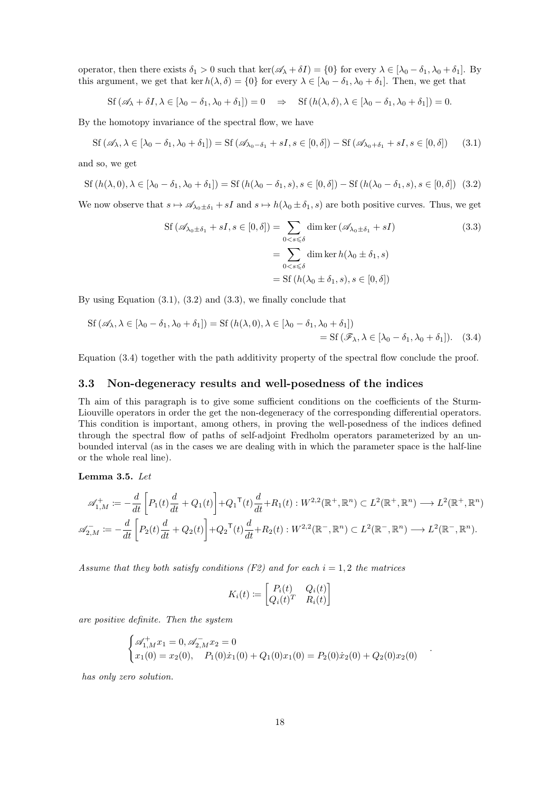operator, then there exists  $\delta_1 > 0$  such that ker $(\mathscr{A}_\lambda + \delta I) = \{0\}$  for every  $\lambda \in [\lambda_0 - \delta_1, \lambda_0 + \delta_1]$ . By this argument, we get that ker  $h(\lambda, \delta) = \{0\}$  for every  $\lambda \in [\lambda_0 - \delta_1, \lambda_0 + \delta_1]$ . Then, we get that

$$
\text{Sf}(\mathscr{A}_\lambda + \delta I, \lambda \in [\lambda_0 - \delta_1, \lambda_0 + \delta_1]) = 0 \quad \Rightarrow \quad \text{Sf}(h(\lambda, \delta), \lambda \in [\lambda_0 - \delta_1, \lambda_0 + \delta_1]) = 0.
$$

By the homotopy invariance of the spectral flow, we have

$$
\mathrm{Sf}\left(\mathscr{A}_{\lambda},\lambda\in\left[\lambda_0-\delta_1,\lambda_0+\delta_1\right]\right)=\mathrm{Sf}\left(\mathscr{A}_{\lambda_0-\delta_1}+sI,s\in\left[0,\delta\right]\right)-\mathrm{Sf}\left(\mathscr{A}_{\lambda_0+\delta_1}+sI,s\in\left[0,\delta\right]\right)\tag{3.1}
$$

and so, we get

$$
\text{Sf}(h(\lambda,0),\lambda \in [\lambda_0 - \delta_1, \lambda_0 + \delta_1]) = \text{Sf}(h(\lambda_0 - \delta_1, s), s \in [0, \delta]) - \text{Sf}(h(\lambda_0 - \delta_1, s), s \in [0, \delta]) \tag{3.2}
$$

We now observe that  $s \mapsto \mathscr{A}_{\lambda_0 \pm \delta_1} + sI$  and  $s \mapsto h(\lambda_0 \pm \delta_1, s)$  are both positive curves. Thus, we get

<span id="page-17-4"></span><span id="page-17-3"></span><span id="page-17-2"></span><span id="page-17-1"></span>
$$
\begin{aligned} \text{Sf} \left( \mathscr{A}_{\lambda_0 \pm \delta_1} + sI, s \in [0, \delta] \right) &= \sum_{0 < s \leqslant \delta} \dim \ker \left( \mathscr{A}_{\lambda_0 \pm \delta_1} + sI \right) \\ &= \sum_{0 < s \leqslant \delta} \dim \ker h(\lambda_0 \pm \delta_1, s) \\ &= \text{Sf} \left( h(\lambda_0 \pm \delta_1, s), s \in [0, \delta] \right) \end{aligned} \tag{3.3}
$$

By using Equation [\(3.1\)](#page-17-1), [\(3.2\)](#page-17-2) and [\(3.3\)](#page-17-3), we finally conclude that

$$
\begin{aligned} \text{Sf} \left( \mathscr{A}_{\lambda}, \lambda \in [\lambda_0 - \delta_1, \lambda_0 + \delta_1] \right) &= \text{Sf} \left( h(\lambda, 0), \lambda \in [\lambda_0 - \delta_1, \lambda_0 + \delta_1] \right) \\ &= \text{Sf} \left( \mathscr{F}_{\lambda}, \lambda \in [\lambda_0 - \delta_1, \lambda_0 + \delta_1] \right). \end{aligned} \tag{3.4}
$$

Equation [\(3.4\)](#page-17-4) together with the path additivity property of the spectral flow conclude the proof.

#### <span id="page-17-0"></span>3.3 Non-degeneracy results and well-posedness of the indices

Th aim of this paragraph is to give some sufficient conditions on the coefficients of the Sturm-Liouville operators in order the get the non-degeneracy of the corresponding differential operators. This condition is important, among others, in proving the well-posedness of the indices defined through the spectral flow of paths of self-adjoint Fredholm operators parameterized by an unbounded interval (as in the cases we are dealing with in which the parameter space is the half-line or the whole real line).

<span id="page-17-5"></span>Lemma 3.5. Let

$$
\mathscr{A}_{1,M}^+ := -\frac{d}{dt} \left[ P_1(t) \frac{d}{dt} + Q_1(t) \right] + Q_1{}^{\mathsf{T}}(t) \frac{d}{dt} + R_1(t) : W^{2,2}(\mathbb{R}^+, \mathbb{R}^n) \subset L^2(\mathbb{R}^+, \mathbb{R}^n) \longrightarrow L^2(\mathbb{R}^+, \mathbb{R}^n)
$$
  

$$
\mathscr{A}_{2,M}^- := -\frac{d}{dt} \left[ P_2(t) \frac{d}{dt} + Q_2(t) \right] + Q_2{}^{\mathsf{T}}(t) \frac{d}{dt} + R_2(t) : W^{2,2}(\mathbb{R}^-, \mathbb{R}^n) \subset L^2(\mathbb{R}^-, \mathbb{R}^n) \longrightarrow L^2(\mathbb{R}^-, \mathbb{R}^n).
$$

Assume that they both satisfy conditions (F2) and for each  $i = 1, 2$  the matrices

$$
K_i(t) := \begin{bmatrix} P_i(t) & Q_i(t) \\ Q_i(t)^T & R_i(t) \end{bmatrix}
$$

are positive definite. Then the system

$$
\begin{cases} \mathscr{A}_{1,M}^+ x_1 = 0, \mathscr{A}_{2,M}^- x_2 = 0\\ x_1(0) = x_2(0), \quad P_1(0)\dot{x}_1(0) + Q_1(0)x_1(0) = P_2(0)\dot{x}_2(0) + Q_2(0)x_2(0) \end{cases}
$$

.

has only zero solution.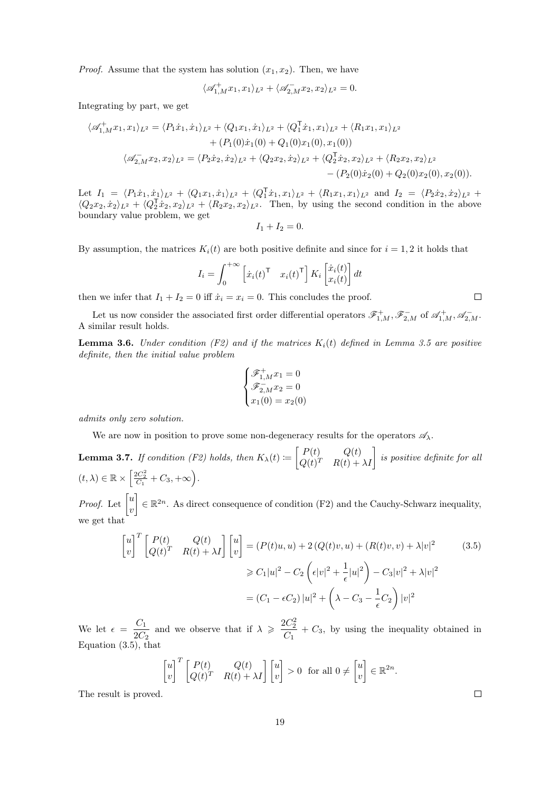*Proof.* Assume that the system has solution  $(x_1, x_2)$ . Then, we have

$$
\langle \mathscr{A}_{1,M}^+ x_1, x_1 \rangle_{L^2} + \langle \mathscr{A}_{2,M}^- x_2, x_2 \rangle_{L^2} = 0.
$$

Integrating by part, we get

$$
\langle \mathscr{A}_{1,M}^+ x_1, x_1 \rangle_{L^2} = \langle P_1 \dot{x}_1, \dot{x}_1 \rangle_{L^2} + \langle Q_1 x_1, \dot{x}_1 \rangle_{L^2} + \langle Q_1^{\mathsf{T}} \dot{x}_1, x_1 \rangle_{L^2} + \langle R_1 x_1, x_1 \rangle_{L^2} + (P_1(0)\dot{x}_1(0) + Q_1(0)x_1(0), x_1(0)) \n\langle \mathscr{A}_{2,M}^- x_2, x_2 \rangle_{L^2} = \langle P_2 \dot{x}_2, \dot{x}_2 \rangle_{L^2} + \langle Q_2 x_2, \dot{x}_2 \rangle_{L^2} + \langle Q_2^{\mathsf{T}} \dot{x}_2, x_2 \rangle_{L^2} + \langle R_2 x_2, x_2 \rangle_{L^2} - (P_2(0)\dot{x}_2(0) + Q_2(0)x_2(0), x_2(0)).
$$

Let  $I_1 = \langle P_1 \dot{x}_1, \dot{x}_1 \rangle_{L^2} + \langle Q_1 x_1, \dot{x}_1 \rangle_{L^2} + \langle Q_1^{\mathsf{T}} \dot{x}_1, x_1 \rangle_{L^2} + \langle R_1 x_1, x_1 \rangle_{L^2}$  and  $I_2 = \langle P_2 \dot{x}_2, \dot{x}_2 \rangle_{L^2} +$  $\langle Q_2x_2, \dot{x}_2\rangle_{L^2} + \langle Q_2^{\dagger}\dot{x}_2, x_2\rangle_{L^2} + \langle R_2x_2, x_2\rangle_{L^2}$ . Then, by using the second condition in the above boundary value problem, we get

$$
I_1+I_2=0.
$$

By assumption, the matrices  $K_i(t)$  are both positive definite and since for  $i = 1, 2$  it holds that

$$
I_i = \int_0^{+\infty} \left[ \dot{x}_i(t)^\mathsf{T} \quad x_i(t)^\mathsf{T} \right] K_i \left[ \dot{x}_i(t) \right] dt
$$

then we infer that  $I_1 + I_2 = 0$  iff  $\dot{x}_i = x_i = 0$ . This concludes the proof.

Let us now consider the associated first order differential operators  $\mathscr{F}^+_{1,M}$ ,  $\mathscr{F}^-_{2,M}$  of  $\mathscr{A}^+_{1,M}$ ,  $\mathscr{A}^-_{2,M}$ . A similar result holds.

<span id="page-18-1"></span>**Lemma 3.6.** Under condition (F2) and if the matrices  $K_i(t)$  defined in Lemma [3.5](#page-17-5) are positive definite, then the initial value problem

$$
\begin{cases} \mathcal{F}_{1,M}^{+} x_1 = 0\\ \mathcal{F}_{2,M}^{-} x_2 = 0\\ x_1(0) = x_2(0) \end{cases}
$$

admits only zero solution.

We are now in position to prove some non-degeneracy results for the operators  $\mathscr{A}_{\lambda}$ .

<span id="page-18-2"></span>**Lemma 3.7.** If condition (F2) holds, then  $K_{\lambda}(t) := \begin{bmatrix} P(t) & Q(t) \\ Q(t) & P(t) \end{bmatrix}$  $\begin{bmatrix} P(t) & Q(t)\ Q(t)^T & R(t)+\lambda I \end{bmatrix}$  is positive definite for all  $(t, \lambda) \in \mathbb{R} \times \left[ \frac{2C_2^2}{C_1} + C_3, +\infty \right).$ 

*Proof.* Let  $\begin{bmatrix} u \\ v \end{bmatrix}$  $\overline{v}$  $\mathcal{E} \in \mathbb{R}^{2n}$ . As direct consequence of condition (F2) and the Cauchy-Schwarz inequality, we get that

$$
\begin{bmatrix} u \\ v \end{bmatrix}^T \begin{bmatrix} P(t) & Q(t) \\ Q(t)^T & R(t) + \lambda I \end{bmatrix} \begin{bmatrix} u \\ v \end{bmatrix} = (P(t)u, u) + 2(Q(t)v, u) + (R(t)v, v) + \lambda |v|^2
$$
(3.5)  

$$
\geq C_1 |u|^2 - C_2 \left( \epsilon |v|^2 + \frac{1}{\epsilon} |u|^2 \right) - C_3 |v|^2 + \lambda |v|^2
$$
  

$$
= (C_1 - \epsilon C_2) |u|^2 + \left( \lambda - C_3 - \frac{1}{\epsilon} C_2 \right) |v|^2
$$

<span id="page-18-0"></span>.

We let  $\epsilon = \frac{C_1}{2C_1}$  $\frac{C_1}{2C_2}$  and we observe that if  $\lambda \geqslant \frac{2C_2^2}{C_1}$  $\frac{1}{C_1}$  +  $C_3$ , by using the inequality obtained in Equation  $(3.5)$ , that

$$
\begin{bmatrix} u \\ v \end{bmatrix}^T \begin{bmatrix} P(t) & Q(t) \\ Q(t)^T & R(t) + \lambda I \end{bmatrix} \begin{bmatrix} u \\ v \end{bmatrix} > 0 \text{ for all } 0 \neq \begin{bmatrix} u \\ v \end{bmatrix} \in \mathbb{R}^{2n}
$$

The result is proved.

 $\Box$ 

 $\Box$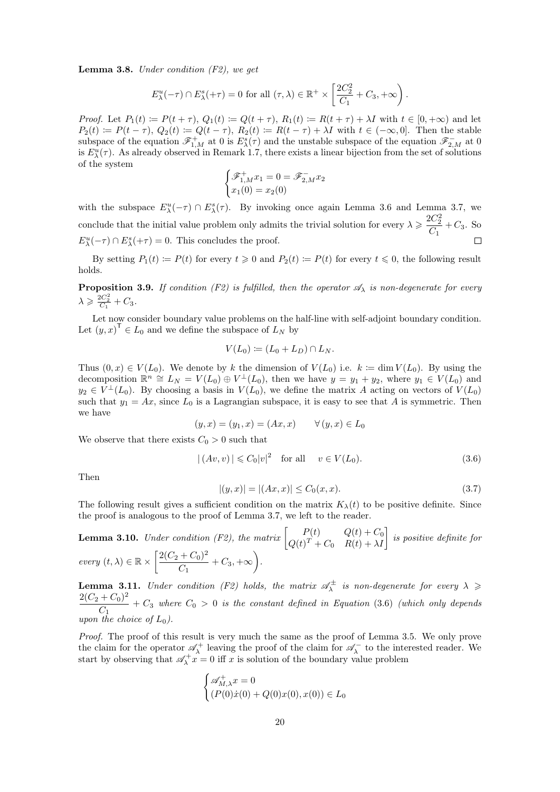<span id="page-19-3"></span>**Lemma 3.8.** Under condition  $(F2)$ , we get

$$
E_{\lambda}^{u}(-\tau) \cap E_{\lambda}^{s}(+\tau) = 0 \text{ for all } (\tau, \lambda) \in \mathbb{R}^{+} \times \left[\frac{2C_{2}^{2}}{C_{1}} + C_{3}, +\infty\right).
$$

Proof. Let  $P_1(t) := P(t+\tau)$ ,  $Q_1(t) := Q(t+\tau)$ ,  $R_1(t) := R(t+\tau) + \lambda I$  with  $t \in [0,+\infty)$  and let  $P_2(t) \coloneqq P(t-\tau), Q_2(t) \coloneqq Q(t-\tau), R_2(t) \coloneqq R(t-\tau) + \lambda I$  with  $t \in (-\infty, 0]$ . Then the stable subspace of the equation  $\mathscr{F}_{1,M}^+$  at 0 is  $E_{\lambda}^s(\tau)$  and the unstable subspace of the equation  $\mathscr{F}_{2,M}^-$  at 0 is  $E_{\lambda}^u(\tau)$ . As already observed in Remark [1.7,](#page-7-3) there exists a linear bijection from the set of solutions of the system

$$
\begin{cases} \mathcal{F}_{1,M}^{+} x_1 = 0 = \mathcal{F}_{2,M}^{-} x_2 \\ x_1(0) = x_2(0) \end{cases}
$$

with the subspace  $E_{\lambda}^u(-\tau) \cap E_{\lambda}^s(\tau)$ . By invoking once again Lemma [3.6](#page-18-1) and Lemma [3.7,](#page-18-2) we conclude that the initial value problem only admits the trivial solution for every  $\lambda \geqslant \frac{2C_2^2}{\alpha}$  $\frac{C_2}{C_1}$  +  $C_3$ . So  $E_{\lambda}^{u}(-\tau) \cap E_{\lambda}^{s}(+\tau) = 0$ . This concludes the proof.

By setting  $P_1(t) := P(t)$  for every  $t \ge 0$  and  $P_2(t) := P(t)$  for every  $t \le 0$ , the following result holds.

<span id="page-19-5"></span>**Proposition 3.9.** If condition (F2) is fulfilled, then the operator  $\mathscr{A}_{\lambda}$  is non-degenerate for every  $\lambda \geqslant \frac{2C_2^2}{C_1} + C_3.$ 

Let now consider boundary value problems on the half-line with self-adjoint boundary condition. Let  $(y, x)^{\mathsf{T}} \in L_0$  and we define the subspace of  $L_N$  by

$$
V(L_0) \coloneqq (L_0 + L_D) \cap L_N.
$$

Thus  $(0, x) \in V(L_0)$ . We denote by k the dimension of  $V(L_0)$  i.e.  $k := \dim V(L_0)$ . By using the decomposition  $\mathbb{R}^n \cong L_N = V(L_0) \oplus V^{\perp}(L_0)$ , then we have  $y = y_1 + y_2$ , where  $y_1 \in V(L_0)$  and  $y_2 \in V^{\perp}(L_0)$ . By choosing a basis in  $V(L_0)$ , we define the matrix A acting on vectors of  $V(L_0)$ such that  $y_1 = Ax$ , since  $L_0$  is a Lagrangian subspace, it is easy to see that A is symmetric. Then we have

$$
(y, x) = (y_1, x) = (Ax, x) \quad \forall (y, x) \in L_0
$$

We observe that there exists  $C_0 > 0$  such that

$$
|(Av, v)| \leq C_0 |v|^2 \quad \text{for all} \quad v \in V(L_0). \tag{3.6}
$$

Then

<span id="page-19-1"></span><span id="page-19-0"></span>
$$
|(y,x)| = |(Ax,x)| \le C_0(x,x). \tag{3.7}
$$

The following result gives a sufficient condition on the matrix  $K_{\lambda}(t)$  to be positive definite. Since the proof is analogous to the proof of Lemma [3.7,](#page-18-2) we left to the reader.

<span id="page-19-2"></span>**Lemma 3.10.** Under condition (F2), the matrix  $\begin{bmatrix} P(t) & Q(t) + C_0 \ Q(t) + C_0 & P(t) + N \end{bmatrix}$  $\left[ \begin{array}{cc} P(t) & Q(t)+C_0 \ Q(t)^T+C_0 & R(t)+\lambda I \end{array} \right]$  is positive definite for every  $(t, \lambda) \in \mathbb{R} \times \left[ \frac{2(C_2 + C_0)^2}{C} \right]$  $\frac{+ C_0)^2}{C_1} + C_3, +\infty$ .

<span id="page-19-4"></span>**Lemma 3.11.** Under condition (F2) holds, the matrix  $\mathscr{A}_{\lambda}^{\pm}$  is non-degenerate for every  $\lambda \geqslant$  $2(C_2 + C_0)^2$  $\frac{1-\epsilon_0}{C_1}$  +  $C_3$  where  $C_0 > 0$  is the constant defined in Equation [\(3.6\)](#page-19-0) (which only depends upon the choice of  $L_0$ ).

Proof. The proof of this result is very much the same as the proof of Lemma [3.5.](#page-17-5) We only prove the claim for the operator  $\mathscr{A}_{\lambda}^+$  leaving the proof of the claim for  $\mathscr{A}_{\lambda}^-$  to the interested reader. We start by observing that  $\mathscr{A}_{\lambda}^+ \mathscr{L} = 0$  iff x is solution of the boundary value problem

$$
\begin{cases} \mathscr{A}_{M,\lambda}^+ x = 0\\ (P(0)\dot{x}(0) + Q(0)x(0), x(0)) \in L_0 \end{cases}
$$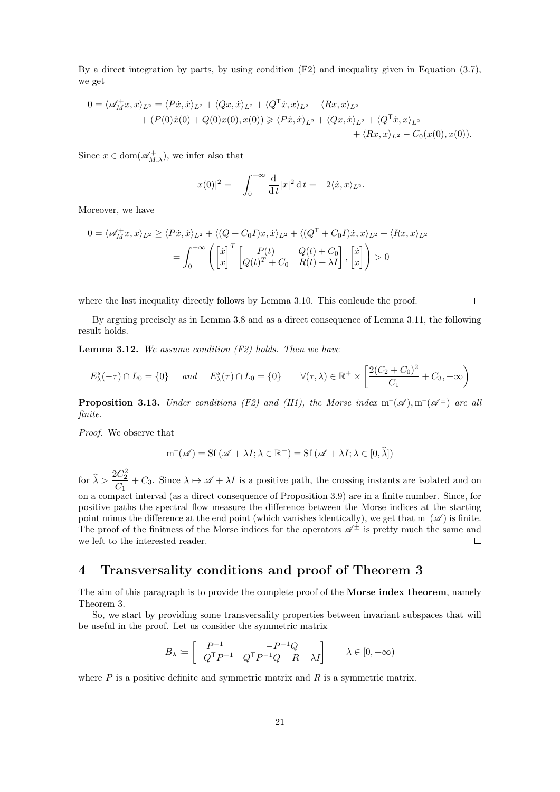By a direct integration by parts, by using condition  $(F2)$  and inequality given in Equation [\(3.7\)](#page-19-1), we get

$$
0 = \langle \mathscr{A}_{M}^{+}x, x \rangle_{L^{2}} = \langle P\dot{x}, \dot{x} \rangle_{L^{2}} + \langle Qx, \dot{x} \rangle_{L^{2}} + \langle Q^{\mathsf{T}}\dot{x}, x \rangle_{L^{2}} + \langle Rx, x \rangle_{L^{2}} + (P(0)\dot{x}(0) + Q(0)x(0), x(0)) \ge \langle Px, \dot{x} \rangle_{L^{2}} + \langle Qx, \dot{x} \rangle_{L^{2}} + \langle Q^{\mathsf{T}}\dot{x}, x \rangle_{L^{2}} + \langle Rx, x \rangle_{L^{2}} - C_{0}(x(0), x(0)).
$$

Since  $x \in \text{dom}(\mathscr{A}_{M,\lambda}^+)$ , we infer also that

$$
|x(0)|^2 = -\int_0^{+\infty} \frac{d}{dt} |x|^2 dt = -2 \langle \dot{x}, x \rangle_{L^2}.
$$

Moreover, we have

$$
0 = \langle \mathscr{A}_M^+ x, x \rangle_{L^2} \ge \langle P\dot{x}, \dot{x} \rangle_{L^2} + \langle (Q + C_0 I)x, \dot{x} \rangle_{L^2} + \langle (Q^{\mathsf{T}} + C_0 I)\dot{x}, x \rangle_{L^2} + \langle Rx, x \rangle_{L^2}
$$

$$
= \int_0^{+\infty} \left( \begin{bmatrix} \dot{x} \\ x \end{bmatrix}^T \begin{bmatrix} P(t) & Q(t) + C_0 \\ Q(t)^T + C_0 & R(t) + \lambda I \end{bmatrix}, \begin{bmatrix} \dot{x} \\ x \end{bmatrix} \right) > 0
$$

where the last inequality directly follows by Lemma [3.10.](#page-19-2) This conlcude the proof.

By arguing precisely as in Lemma [3.8](#page-19-3) and as a direct consequence of Lemma [3.11,](#page-19-4) the following result holds.

<span id="page-20-1"></span>**Lemma 3.12.** We assume condition  $(F2)$  holds. Then we have

$$
E_{\lambda}^{s}(-\tau) \cap L_0 = \{0\} \quad \text{and} \quad E_{\lambda}^{s}(\tau) \cap L_0 = \{0\} \qquad \forall (\tau, \lambda) \in \mathbb{R}^+ \times \left[\frac{2(C_2 + C_0)^2}{C_1} + C_3, +\infty\right)
$$

**Proposition 3.13.** Under conditions (F2) and (H1), the Morse index  $m^-(\mathscr{A})$ ,  $m^-(\mathscr{A}^{\pm})$  are all finite.

Proof. We observe that

$$
m^{-}(\mathscr{A}) = Sf(\mathscr{A} + \lambda I; \lambda \in \mathbb{R}^{+}) = Sf(\mathscr{A} + \lambda I; \lambda \in [0, \widehat{\lambda}])
$$

for  $\widehat{\lambda} > \frac{2C_2^2}{C_1}$  $\frac{C_2}{C_1} + C_3$ . Since  $\lambda \mapsto \mathscr{A} + \lambda I$  is a positive path, the crossing instants are isolated and on on a compact interval (as a direct consequence of Proposition [3.9\)](#page-19-5) are in a finite number. Since, for positive paths the spectral flow measure the difference between the Morse indices at the starting point minus the difference at the end point (which vanishes identically), we get that  $m^{-}(\mathscr{A})$  is finite. The proof of the finitness of the Morse indices for the operators  $\mathscr{A}^{\pm}$  is pretty much the same and we left to the interested reader.  $\Box$ 

### <span id="page-20-0"></span>4 Transversality conditions and proof of Theorem [3](#page-8-0)

The aim of this paragraph is to provide the complete proof of the **Morse index theorem**, namely Theorem [3.](#page-8-0)

So, we start by providing some transversality properties between invariant subspaces that will be useful in the proof. Let us consider the symmetric matrix

$$
B_{\lambda} \coloneqq \begin{bmatrix} P^{-1} & -P^{-1}Q \\ -Q^{\mathsf{T}}P^{-1} & Q^{\mathsf{T}}P^{-1}Q - R - \lambda I \end{bmatrix} \qquad \lambda \in [0,+\infty)
$$

where  $P$  is a positive definite and symmetric matrix and  $R$  is a symmetric matrix.

 $\Box$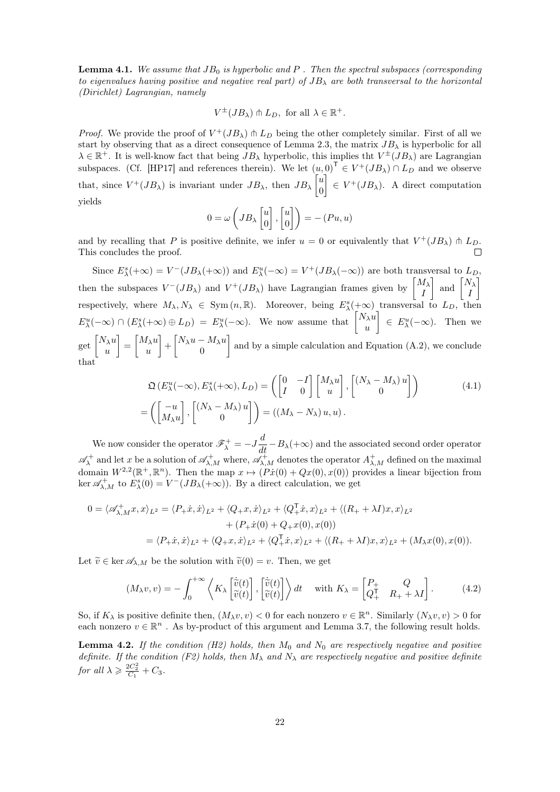<span id="page-21-3"></span>**Lemma 4.1.** We assume that  $JB_0$  is hyperbolic and P. Then the spectral subspaces (corresponding to eigenvalues having positive and negative real part) of  $JB_{\lambda}$  are both transversal to the horizontal (Dirichlet) Lagrangian, namely

$$
V^{\pm}(JB_{\lambda}) \pitchfork L_D
$$
, for all  $\lambda \in \mathbb{R}^+$ .

*Proof.* We provide the proof of  $V^+(JB_\lambda) \pitchfork L_D$  being the other completely similar. First of all we start by observing that as a direct consequence of Lemma [2.3,](#page-11-2) the matrix  $JB_{\lambda}$  is hyperbolic for all  $\lambda \in \mathbb{R}^+$ . It is well-know fact that being  $JB_{\lambda}$  hyperbolic, this implies tht  $V^{\pm}(JB_{\lambda})$  are Lagrangian subspaces. (Cf. [\[HP17\]](#page-28-13) and references therein). We let  $(u,0)^{\mathsf{T}} \in V^+(JB_\lambda) \cap L_D$  and we observe that, since  $V^+(JB_\lambda)$  is invariant under  $JB_\lambda$ , then  $JB_\lambda$   $\begin{bmatrix} u \\ v \end{bmatrix}$ 0  $\Big[\in V^+(JB_\lambda).$  A direct computation yields

<span id="page-21-2"></span>
$$
0 = \omega \left( J B_{\lambda} \begin{bmatrix} u \\ 0 \end{bmatrix}, \begin{bmatrix} u \\ 0 \end{bmatrix} \right) = - (P u, u)
$$

and by recalling that P is positive definite, we infer  $u = 0$  or equivalently that  $V^+(JB_\lambda) \pitchfork L_D$ . This concludes the proof.

Since  $E_{\lambda}^{s}(+\infty) = V^{-}(JB_{\lambda}(+\infty))$  and  $E_{\lambda}^{u}(-\infty) = V^{+}(JB_{\lambda}(-\infty))$  are both transversal to  $L_{D}$ , then the subspaces  $V^-(JB_\lambda)$  and  $V^+(JB_\lambda)$  have Lagrangian frames given by  $\begin{bmatrix} M_\lambda \\ I \end{bmatrix}$ I and  $\begin{bmatrix} N_{\lambda} \\ I \end{bmatrix}$ I 1 respectively, where  $M_{\lambda}, N_{\lambda} \in \text{Sym}(n, \mathbb{R})$ . Moreover, being  $E_{\lambda}^{s}(+\infty)$  transversal to  $L_D$ , then  $E_{\lambda}^{u}(-\infty) \cap (E_{\lambda}^{s}(+\infty) \oplus L_{D}) = E_{\lambda}^{u}(-\infty)$ . We now assume that  $\begin{bmatrix} N_{\lambda}u \\ u \end{bmatrix}$ u  $\left\{ \begin{array}{l} \in E_{\lambda}^{u}(-\infty). \end{array} \right.$  Then we get  $\left[\begin{matrix} N_{\lambda}u \\ u \end{matrix}\right]$ u  $\Big] = \Big[ \begin{matrix} M_{\lambda} u \\ u \end{matrix} \Big]$ u  $\bigg] + \bigg[ N_\lambda u - M_\lambda u \bigg]$  $\boldsymbol{0}$ and by a simple calculation and Equation [\(A.2\)](#page-25-3), we conclude that

$$
\mathfrak{Q}\left(E_{\lambda}^{u}(-\infty), E_{\lambda}^{s}(+\infty), L_{D}\right) = \left(\begin{bmatrix} 0 & -I \\ I & 0 \end{bmatrix} \begin{bmatrix} M_{\lambda}u \\ u \end{bmatrix}, \begin{bmatrix} (N_{\lambda} - M_{\lambda})u \\ 0 \end{bmatrix}\right)
$$
\n
$$
= \left(\begin{bmatrix} -u \\ M_{\lambda}u \end{bmatrix}, \begin{bmatrix} (N_{\lambda} - M_{\lambda})u \\ 0 \end{bmatrix}\right) = ((M_{\lambda} - N_{\lambda})u, u).
$$
\n(4.1)

We now consider the operator  $\mathscr{F}^+_\lambda = -J\frac{d}{dt} - B_\lambda(+\infty)$  and the associated second order operator  $\mathscr{A}_{\lambda}^+$  and let x be a solution of  $\mathscr{A}_{\lambda,M}^+$  where,  $\mathscr{A}_{\lambda,M}^+$  denotes the operator  $A_{\lambda,M}^+$  defined on the maximal domain  $W^{2,2}(\mathbb{R}^+,\mathbb{R}^n)$ . Then the map  $x \mapsto (Px(0) + Qx(0),x(0))$  provides a linear bijection from ker  $\mathscr{A}_{\lambda,M}^+$  to  $E_{\lambda}^s(0) = V^-(JB_{\lambda}(+\infty))$ . By a direct calculation, we get

$$
0 = \langle \mathscr{A}^+_{\lambda,M} x, x \rangle_{L^2} = \langle P_+ \dot{x}, \dot{x} \rangle_{L^2} + \langle Q_+ x, \dot{x} \rangle_{L^2} + \langle Q_+^{\mathsf{T}} \dot{x}, x \rangle_{L^2} + \langle (R_+ + \lambda I) x, x \rangle_{L^2} + (P_+ \dot{x}(0) + Q_+ x(0), x(0)) = \langle P_+ \dot{x}, \dot{x} \rangle_{L^2} + \langle Q_+ x, \dot{x} \rangle_{L^2} + \langle Q_+^{\mathsf{T}} \dot{x}, x \rangle_{L^2} + \langle (R_+ + \lambda I) x, x \rangle_{L^2} + (M_\lambda x(0), x(0)).
$$

Let  $\widetilde{v} \in \ker \mathscr{A}_{\lambda,M}$  be the solution with  $\widetilde{v}(0) = v$ . Then, we get

<span id="page-21-0"></span>
$$
(M_{\lambda}v,v) = -\int_0^{+\infty} \left\langle K_{\lambda} \begin{bmatrix} \dot{\tilde{v}}(t) \\ \tilde{v}(t) \end{bmatrix}, \begin{bmatrix} \dot{\tilde{v}}(t) \\ \tilde{v}(t) \end{bmatrix} \right\rangle dt \quad \text{with } K_{\lambda} = \begin{bmatrix} P_+ & Q \\ Q_+^{\mathsf{T}} & R_+ + \lambda I \end{bmatrix}.
$$
 (4.2)

So, if  $K_\lambda$  is positive definite then,  $(M_\lambda v, v) < 0$  for each nonzero  $v \in \mathbb{R}^n$ . Similarly  $(N_\lambda v, v) > 0$  for each nonzero  $v \in \mathbb{R}^n$ . As by-product of this argument and Lemma [3.7,](#page-18-2) the following result holds.

<span id="page-21-1"></span>**Lemma 4.2.** If the condition (H2) holds, then  $M_0$  and  $N_0$  are respectively negative and positive definite. If the condition (F2) holds, then  $M_{\lambda}$  and  $N_{\lambda}$  are respectively negative and positive definite for all  $\lambda \geqslant \frac{2C_2^2}{C_1} + C_3$ .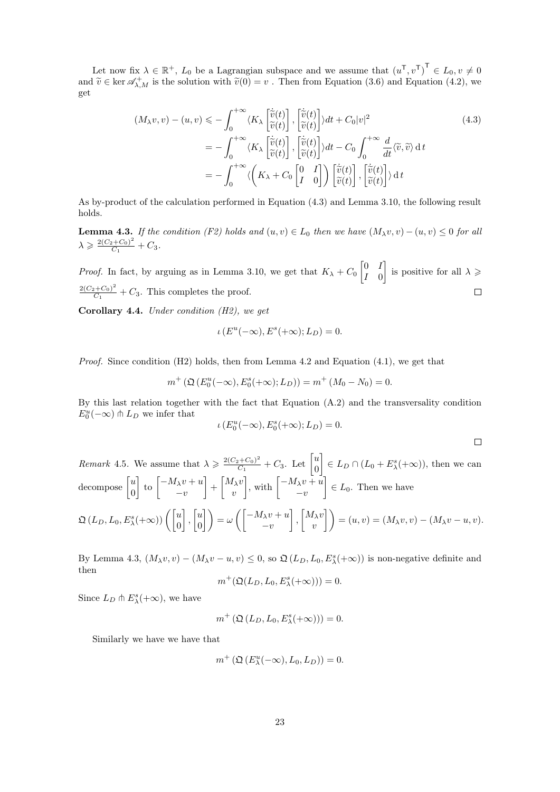Let now fix  $\lambda \in \mathbb{R}^+$ ,  $L_0$  be a Lagrangian subspace and we assume that  $(u^{\mathsf{T}}, v^{\mathsf{T}})^{\mathsf{T}} \in L_0, v \neq 0$ and  $\tilde{v} \in \ker \mathscr{A}_{\lambda,M}^+$  is the solution with  $\tilde{v}(0) = v$ . Then from Equation [\(3.6\)](#page-19-0) and Equation [\(4.2\)](#page-21-0), we get

$$
(M_{\lambda}v, v) - (u, v) \leq -\int_0^{+\infty} \langle K_{\lambda} \left[ \tilde{\tilde{v}}(t) \right], \left[ \tilde{\tilde{v}}(t) \right] \rangle dt + C_0 |v|^2
$$
(4.3)  

$$
= -\int_0^{+\infty} \langle K_{\lambda} \left[ \tilde{\tilde{v}}(t) \right], \left[ \tilde{\tilde{v}}(t) \right] \rangle dt - C_0 \int_0^{+\infty} \frac{d}{dt} \langle \tilde{v}, \tilde{v} \rangle dt
$$

$$
= -\int_0^{+\infty} \langle \left( K_{\lambda} + C_0 \left[ \begin{matrix} 0 & I \end{matrix} \right] \right) \left[ \tilde{\tilde{v}}(t) \right], \left[ \tilde{\tilde{v}}(t) \right] \rangle \left[ \tilde{\tilde{v}}(t) \right] \rangle dt
$$

As by-product of the calculation performed in Equation [\(4.3\)](#page-22-1) and Lemma [3.10,](#page-19-2) the following result holds.

<span id="page-22-2"></span>**Lemma 4.3.** If the condition (F2) holds and  $(u, v) \in L_0$  then we have  $(M_\lambda v, v) - (u, v) \leq 0$  for all  $\lambda \geqslant \frac{2(C_2+C_0)^2}{C_1}$  $\frac{C_2 + C_0}{C_1} + C_3.$ 

*Proof.* In fact, by arguing as in Lemma [3.10,](#page-19-2) we get that  $K_{\lambda} + C_0 \begin{bmatrix} 0 & I \\ I & 0 \end{bmatrix}$ is positive for all  $\lambda \geqslant$ I 0  $2(C_2+C_0)^2$  $\Box$  $\frac{C_1+C_0}{C_1}+C_3$ . This completes the proof.

<span id="page-22-0"></span>Corollary 4.4. Under condition  $(H2)$ , we get

<span id="page-22-1"></span>
$$
\iota\left(E^u(-\infty), E^s(+\infty); L_D\right) = 0.
$$

*Proof.* Since condition  $(H2)$  holds, then from Lemma [4.2](#page-21-1) and Equation  $(4.1)$ , we get that

$$
m^{+}(\mathfrak{Q}\left(E_{0}^{u}(-\infty),E_{0}^{s}(+\infty);L_{D}\right))=m^{+}(M_{0}-N_{0})=0.
$$

By this last relation together with the fact that Equation [\(A.2\)](#page-25-3) and the transversality condition  $E_0^u(-\infty) \pitchfork L_D$  we infer that

$$
\iota(E_0^u(-\infty),E_0^s(+\infty);L_D)=0.
$$

 $\Box$ 

<span id="page-22-3"></span>*Remark* 4.5. We assume that  $\lambda \geqslant \frac{2(C_2+C_0)^2}{C_1}$  $\frac{C_2+C_0)^2}{C_1}+C_3$ . Let  $\begin{bmatrix} u \\ 0 \end{bmatrix}$ 0  $\left[\right] \in L_D \cap (L_0 + E_{\lambda}^s(+\infty))$ , then we can decompose  $\begin{bmatrix} u \\ 0 \end{bmatrix}$  $\boldsymbol{0}$  $\Big\{\begin{array}{c} -M_\lambda v + u \end{array}\Big\}$  $-v$  $\Big] + \Big[ M_\lambda v$  $\overline{v}$  $\Big\},\,\text{with}\,\,\Big[\begin{matrix} -M_\lambda v + u \end{matrix}\Big]$  $-v$  $\left[\right] \in L_0$ . Then we have  $\mathfrak{Q}\left(L_{D},L_{0},E_{\lambda}^{s}(+\infty)\right)\Big(\begin{bmatrix} u \ 0 \end{bmatrix}$  $\Big]$ ,  $\Big[ \begin{matrix} u \\ 0 \end{matrix} \Big]$  $\begin{pmatrix} u \ 0 \end{pmatrix} = \omega \left( \begin{bmatrix} -M_\lambda v + u \ -v \end{bmatrix} \right)$  $-v$  $\Big]$ ,  $\Big[ M_\lambda v$  $\begin{pmatrix} I_\lambda v \ v \end{pmatrix} = (u,v) = (M_\lambda v, v) - (M_\lambda v - u, v).$ 

By Lemma [4.3,](#page-22-2)  $(M_\lambda v, v) - (M_\lambda v - u, v) \leq 0$ , so  $\mathfrak{Q}(L_D, L_0, E_\lambda^s(+\infty))$  is non-negative definite and then

$$
m^+(\mathfrak{Q}(L_D, L_0, E^s_\lambda(+\infty))) = 0.
$$

Since  $L_D \pitchfork E_\lambda^s(+\infty)$ , we have

$$
m^{+}\left(\mathfrak{Q}\left(L_{D},L_{0},E_{\lambda}^{s}(+\infty)\right)\right)=0.
$$

Similarly we have we have that

$$
m^{+}\left(\mathfrak{Q}\left(E_{\lambda}^{u}(-\infty), L_{0}, L_{D}\right)\right) = 0.
$$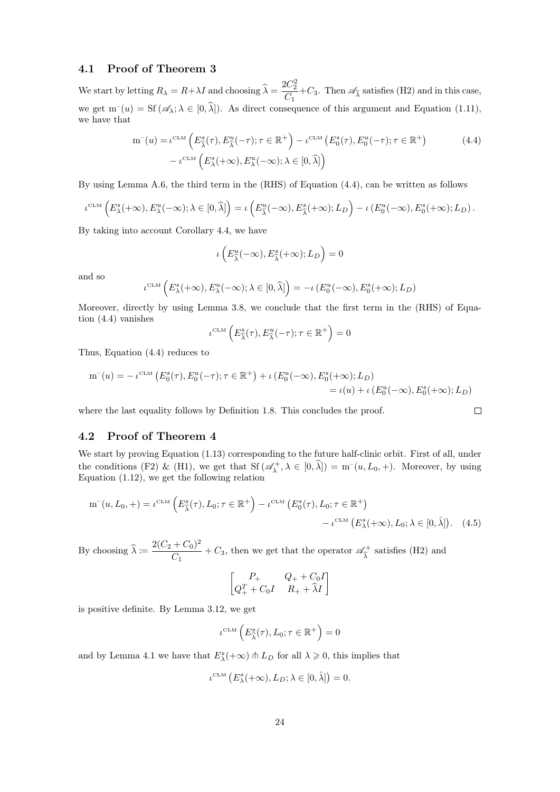### <span id="page-23-0"></span>4.1 Proof of Theorem [3](#page-8-0)

We start by letting  $R_{\lambda} = R + \lambda I$  and choosing  $\hat{\lambda} = \frac{2C_2^2}{C_1}$  $\frac{C_2}{C_1}$  +  $C_3$ . Then  $\mathscr{A}_{\widehat{\lambda}}$  satisfies (H2) and in this case, we get  $m^-(u) = Sf(\mathscr{A}_\lambda; \lambda \in [0, \hat{\lambda}])$ . As direct consequence of this argument and Equation [\(1.11\)](#page-7-4), we have that

$$
m^{-}(u) = \iota^{\text{CLM}}\left(E_{\hat{\lambda}}^{s}(\tau), E_{\hat{\lambda}}^{u}(-\tau); \tau \in \mathbb{R}^{+}\right) - \iota^{\text{CLM}}\left(E_{0}^{s}(\tau), E_{0}^{u}(-\tau); \tau \in \mathbb{R}^{+}\right) \tag{4.4}
$$

$$
-\iota^{\text{CLM}}\left(E_{\lambda}^{s}(+\infty), E_{\lambda}^{u}(-\infty); \lambda \in [0, \hat{\lambda}]\right)
$$

By using Lemma [A.6,](#page-26-1) the third term in the (RHS) of Equation [\(4.4\)](#page-23-2), can be written as follows

$$
\iota^{\mathrm{CLM}}\left(E_{\lambda}^{s}(+\infty), E_{\lambda}^{u}(-\infty); \lambda \in [0, \widehat{\lambda}] \right) = \iota\left(E_{\widehat{\lambda}}^{u}(-\infty), E_{\widehat{\lambda}}^{s}(+\infty); L_D\right) - \iota\left(E_0^{u}(-\infty), E_0^{s}(+\infty); L_D\right).
$$

By taking into account Corollary [4.4,](#page-22-0) we have

<span id="page-23-2"></span>
$$
\iota\left(E_{\widehat{\lambda}}^u(-\infty), E_{\widehat{\lambda}}^s(+\infty); L_D\right) = 0
$$

and so

$$
\iota^{\mathrm{CLM}}\left(E_{\lambda}^{s}(+\infty), E_{\lambda}^{u}(-\infty); \lambda \in [0, \widehat{\lambda}]\right) = -\iota\left(E_{0}^{u}(-\infty), E_{0}^{s}(+\infty); L_{D}\right)
$$

Moreover, directly by using Lemma [3.8,](#page-19-3) we conclude that the first term in the (RHS) of Equation [\(4.4\)](#page-23-2) vanishes

$$
\iota^{\scriptscriptstyle{\mathrm{CLM}}}\left(E^s_{\widehat{\lambda}}(\tau),E^u_{\widehat{\lambda}}(-\tau);\tau\in\mathbb{R}^+\right)=0
$$

Thus, Equation [\(4.4\)](#page-23-2) reduces to

$$
m^{-}(u) = -\iota^{\text{CLM}}\left(E_0^s(\tau), E_0^u(-\tau); \tau \in \mathbb{R}^+\right) + \iota\left(E_0^u(-\infty), E_0^s(+\infty); L_D\right) = \iota(u) + \iota\left(E_0^u(-\infty), E_0^s(+\infty); L_D\right)
$$

<span id="page-23-3"></span> $\Box$ 

where the last equality follows by Definition [1.8.](#page-7-0) This concludes the proof.

#### <span id="page-23-1"></span>4.2 Proof of Theorem [4](#page-9-0)

We start by proving Equation [\(1.13\)](#page-9-3) corresponding to the future half-clinic orbit. First of all, under the conditions (F2) & (H1), we get that  $Sf$  ( $\mathscr{A}_{\lambda}^{+}$ ,  $\lambda \in [0, \hat{\lambda}]$ ) = m<sup>-</sup>(u, L<sub>0</sub>, +). Moreover, by using Equation [\(1.12\)](#page-7-5), we get the following relation

$$
\mathbf{m}^-(u, L_0, +) = \iota^{\mathrm{CLM}} \left( E^s_{\widehat{\lambda}}(\tau), L_0; \tau \in \mathbb{R}^+ \right) - \iota^{\mathrm{CLM}} \left( E^s_0(\tau), L_0; \tau \in \mathbb{R}^+ \right) - \iota^{\mathrm{CLM}} \left( E^s_{\lambda}(+\infty), L_0; \lambda \in [0, \widehat{\lambda}] \right). \tag{4.5}
$$

By choosing  $\widehat{\lambda} := \frac{2(C_2 + C_0)^2}{C_1}$  $\frac{+60}{C_1}$  + C<sub>3</sub>, then we get that the operator  $\mathscr{A}_{\widehat{\lambda}}^+$  $\chi^+$  satisfies (H2) and

$$
\begin{bmatrix} P_+ & Q_+ + C_0 I \\ Q_+^T + C_0 I & R_+ + \widehat{\lambda} I \end{bmatrix}
$$

is positive definite. By Lemma [3.12,](#page-20-1) we get

$$
\iota^{\scriptscriptstyle{\mathrm{CLM}}}\left(E_{\widehat{\lambda}}^s(\tau),L_0;\tau\in\mathbb{R}^+\right)=0
$$

and by Lemma [4.1](#page-21-3) we have that  $E_{\lambda}^{s}(+\infty) \cap L_D$  for all  $\lambda \geq 0$ , this implies that

$$
\iota^{\scriptscriptstyle{\mathrm{CLM}}}\left(E^s_\lambda(+\infty),L_D;\lambda\in[0,\hat\lambda]\right)=0.
$$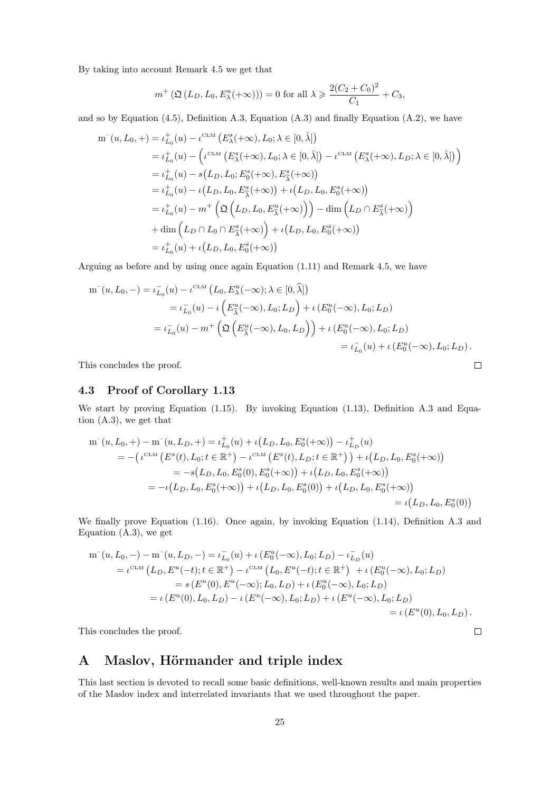By taking into account Remark [4.5](#page-22-3) we get that

$$
m^+\left(\mathfrak{Q}(L_D, L_0, E_{\lambda}^u(+\infty))\right) = 0
$$
 for all  $\lambda \geq \frac{2(C_2 + C_0)^2}{C_1} + C_3$ ,

and so by Equation [\(4.5\)](#page-23-3), Definition [A.3,](#page-26-2) Equation [\(A.3\)](#page-26-3) and finally Equation [\(A.2\)](#page-25-3), we have

$$
m^{-}(u, L_{0}, +) = \iota_{L_{0}}^{+}(u) - \iota^{\text{CLM}} (E_{\lambda}^{s}(+\infty), L_{0}; \lambda \in [0, \hat{\lambda}])
$$
  
\n
$$
= \iota_{L_{0}}^{+}(u) - (\iota^{\text{CLM}} (E_{\lambda}^{s}(+\infty), L_{0}; \lambda \in [0, \hat{\lambda}]) - \iota^{\text{CLM}} (E_{\lambda}^{s}(+\infty), L_{D}; \lambda \in [0, \hat{\lambda}])
$$
  
\n
$$
= \iota_{L_{0}}^{+}(u) - s(L_{D}, L_{0}; E_{0}^{s}(+\infty), E_{\lambda}^{s}(+\infty))
$$
  
\n
$$
= \iota_{L_{0}}^{+}(u) - \iota(L_{D}, L_{0}, E_{\lambda}^{s}(+\infty)) + \iota(L_{D}, L_{0}, E_{0}^{s}(+\infty))
$$
  
\n
$$
= \iota_{L_{0}}^{+}(u) - m^{+} \left( \mathfrak{Q} (L_{D}, L_{0}, E_{\lambda}^{u}(+\infty)) \right) - \dim (L_{D} \cap E_{\lambda}^{s}(+\infty))
$$
  
\n
$$
+ \dim (L_{D} \cap L_{0} \cap E_{\lambda}^{s}(+\infty)) + \iota(L_{D}, L_{0}, E_{0}^{s}(+\infty))
$$
  
\n
$$
= \iota_{L_{0}}^{+}(u) + \iota(L_{D}, L_{0}, E_{0}^{s}(+\infty))
$$

Arguing as before and by using once again Equation [\(1.11\)](#page-7-4) and Remark [4.5,](#page-22-3) we have

$$
m^-(u, L_0, -) = \iota_{L_0}^-(u) - \iota^{\text{CLM}} (L_0, E^u_\lambda(-\infty); \lambda \in [0, \hat{\lambda}])
$$
  
\n
$$
= \iota_{L_0}^-(u) - \iota \left( E^u_{\hat{\lambda}}(-\infty), L_0; L_D \right) + \iota \left( E^u_0(-\infty), L_0; L_D \right)
$$
  
\n
$$
= \iota_{L_0}^-(u) - m^+ \left( \mathfrak{Q} \left( E^u_{\hat{\lambda}}(-\infty), L_0, L_D \right) \right) + \iota \left( E^u_0(-\infty), L_0; L_D \right)
$$
  
\n
$$
= \iota_{L_0}^-(u) + \iota \left( E^u_0(-\infty), L_0; L_D \right).
$$

 $\Box$ 

 $\Box$ 

This concludes the proof.

#### <span id="page-24-0"></span>4.3 Proof of Corollary [1.13](#page-10-2)

We start by proving Equation [\(1.15\)](#page-10-5). By invoking Equation [\(1.13\)](#page-9-3), Definition [A.3](#page-26-2) and Equation [\(A.3\)](#page-26-3), we get that

$$
m^-(u, L_0, +) - m^-(u, L_D, +) = \iota_{L_0}^+(u) + \iota(L_D, L_0, E_0^s(+\infty)) - \iota_{L_D}^+(u)
$$
  
= -(\iota^{CLM} (E^s(t), L\_0; t \in \mathbb{R}^+) - \iota^{CLM} (E^s(t), L\_D; t \in \mathbb{R}^+) + \iota(L\_D, L\_0, E\_0^s(+\infty))  
= -s(L\_D, L\_0, E\_0^s(0), E\_0^s(+\infty)) + \iota(L\_D, L\_0, E\_0^s(+\infty))  
= -\iota(L\_D, L\_0, E\_0^s(+\infty)) + \iota(L\_D, L\_0, E\_0^s(0)) + \iota(L\_D, L\_0, E\_0^s(+\infty))  
= \iota(L\_D, L\_0, E\_0^s(0))

We finally prove Equation [\(1.16\)](#page-10-6). Once again, by invoking Equation [\(1.14\)](#page-9-4), Definition [A.3](#page-26-2) and Equation [\(A.3\)](#page-26-3), we get

$$
m^-(u, L_0, -) - m^-(u, L_D, -) = \iota_{L_0}^-(u) + \iota(E_0^u(-\infty), L_0; L_D) - \iota_{L_D}^-(u)
$$
  
\n
$$
= \iota^{CLM} (L_D, E^u(-t); t \in \mathbb{R}^+) - \iota^{CLM} (L_0, E^u(-t); t \in \mathbb{R}^+) + \iota(E_0^u(-\infty), L_0; L_D)
$$
  
\n
$$
= s (E^u(0), E^u(-\infty); L_0, L_D) + \iota(E_0^u(-\infty), L_0; L_D)
$$
  
\n
$$
= \iota(E^u(0), L_0, L_D) - \iota(E^u(-\infty), L_0; L_D) + \iota(E^u(-\infty), L_0; L_D)
$$
  
\n
$$
= \iota(E^u(0), L_0, L_D).
$$

This concludes the proof.

## <span id="page-24-1"></span>A Maslov, Hörmander and triple index

This last section is devoted to recall some basic definitions, well-known results and main properties of the Maslov index and interrelated invariants that we used throughout the paper.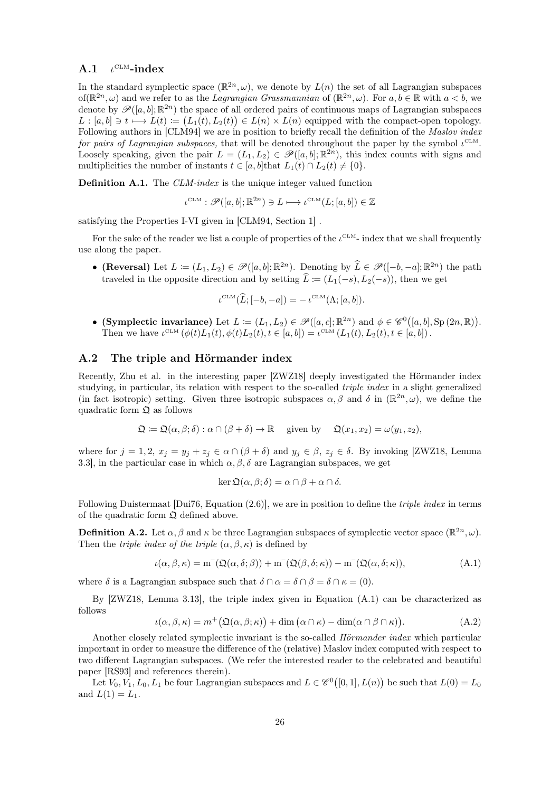#### <span id="page-25-0"></span> $A.1$  $L^{\text{CLM}}$ -index

In the standard symplectic space  $(\mathbb{R}^{2n}, \omega)$ , we denote by  $L(n)$  the set of all Lagrangian subspaces of  $(\mathbb{R}^{2n}, \omega)$  and we refer to as the *Lagrangian Grassmannian* of  $(\mathbb{R}^{2n}, \omega)$ . For  $a, b \in \mathbb{R}$  with  $a < b$ , we denote by  $\mathscr{P}([a, b]; \mathbb{R}^{2n})$  the space of all ordered pairs of continuous maps of Lagrangian subspaces  $L : [a, b] \ni t \longmapsto L(t) \coloneqq (L_1(t), L_2(t)) \in L(n) \times L(n)$  equipped with the compact-open topology. Following authors in [\[CLM94\]](#page-27-7) we are in position to briefly recall the definition of the *Maslov index* for pairs of Lagrangian subspaces, that will be denoted throughout the paper by the symbol  $\iota^{\text{CLM}}$ . Loosely speaking, given the pair  $L = (L_1, L_2) \in \mathscr{P}([a, b]; \mathbb{R}^{2n})$ , this index counts with signs and multiplicities the number of instants  $t \in [a, b]$ that  $L_1(t) \cap L_2(t) \neq \{0\}.$ 

Definition A.1. The CLM-index is the unique integer valued function

$$
\iota^{\mathrm{CLM}} : \mathscr{P}([a, b]; \mathbb{R}^{2n}) \ni L \longmapsto \iota^{\mathrm{CLM}}(L; [a, b]) \in \mathbb{Z}
$$

satisfying the Properties I-VI given in [\[CLM94,](#page-27-7) Section 1] .

For the sake of the reader we list a couple of properties of the  $\iota^{\text{CLM}}$ - index that we shall frequently use along the paper.

• (Reversal) Let  $L := (L_1, L_2) \in \mathscr{P}([a, b]; \mathbb{R}^{2n})$ . Denoting by  $\widehat{L} \in \mathscr{P}([-b, -a]; \mathbb{R}^{2n})$  the path traveled in the opposite direction and by setting  $\hat{L} := (L_1(-s), L_2(-s))$ , then we get

$$
\iota^{\mathrm{CLM}}(\widehat{L};[-b,-a]) = -\iota^{\mathrm{CLM}}(\Lambda;[a,b]).
$$

• (Symplectic invariance) Let  $L := (L_1, L_2) \in \mathscr{P}([a, c]; \mathbb{R}^{2n})$  and  $\phi \in \mathscr{C}^0([a, b], Sp(2n, \mathbb{R}))$ . Then we have  $\iota^{\text{CLM}}(\phi(t)L_1(t), \phi(t)L_2(t), t \in [a, b]) = \iota^{\text{CLM}}(L_1(t), L_2(t), t \in [a, b])$ .

### <span id="page-25-1"></span>A.2 The triple and Hörmander index

Recently, Zhu et al. in the interesting paper [\[ZWZ18\]](#page-29-2) deeply investigated the Hörmander index studying, in particular, its relation with respect to the so-called *triple index* in a slight generalized (in fact isotropic) setting. Given three isotropic subspaces  $\alpha, \beta$  and  $\delta$  in  $(\mathbb{R}^{2n}, \omega)$ , we define the quadratic form  $\Omega$  as follows

$$
\mathfrak{Q} \coloneqq \mathfrak{Q}(\alpha,\beta;\delta) : \alpha \cap (\beta + \delta) \to \mathbb{R} \quad \text{ given by } \quad \mathfrak{Q}(x_1,x_2) = \omega(y_1,z_2),
$$

where for  $j = 1, 2, x_j = y_j + z_j \in \alpha \cap (\beta + \delta)$  and  $y_j \in \beta, z_j \in \delta$ . By invoking [\[ZWZ18,](#page-29-2) Lemma 3.3, in the particular case in which  $\alpha$ ,  $\beta$ ,  $\delta$  are Lagrangian subspaces, we get

<span id="page-25-4"></span><span id="page-25-3"></span>
$$
\ker \mathfrak{Q}(\alpha, \beta; \delta) = \alpha \cap \beta + \alpha \cap \delta.
$$

Following Duistermaat [\[Dui76,](#page-27-9) Equation (2.6)], we are in position to define the *triple index* in terms of the quadratic form  $\mathfrak Q$  defined above.

<span id="page-25-2"></span>**Definition A.2.** Let  $\alpha, \beta$  and  $\kappa$  be three Lagrangian subspaces of symplectic vector space  $(\mathbb{R}^{2n}, \omega)$ . Then the *triple index of the triple*  $(\alpha, \beta, \kappa)$  is defined by

$$
\iota(\alpha,\beta,\kappa) = m^{-}(\mathfrak{Q}(\alpha,\delta;\beta)) + m^{-}(\mathfrak{Q}(\beta,\delta;\kappa)) - m^{-}(\mathfrak{Q}(\alpha,\delta;\kappa)), \tag{A.1}
$$

where  $\delta$  is a Lagrangian subspace such that  $\delta \cap \alpha = \delta \cap \beta = \delta \cap \kappa = (0)$ .

By [\[ZWZ18,](#page-29-2) Lemma 3.13], the triple index given in Equation [\(A.1\)](#page-25-4) can be characterized as follows

$$
\iota(\alpha,\beta,\kappa) = m^+\big(\mathfrak{Q}(\alpha,\beta;\kappa)\big) + \dim\big(\alpha \cap \kappa) - \dim(\alpha \cap \beta \cap \kappa)\big). \tag{A.2}
$$

Another closely related symplectic invariant is the so-called *Hörmander index* which particular important in order to measure the difference of the (relative) Maslov index computed with respect to two different Lagrangian subspaces. (We refer the interested reader to the celebrated and beautiful paper [\[RS93\]](#page-29-3) and references therein).

Let  $V_0, V_1, L_0, L_1$  be four Lagrangian subspaces and  $L \in \mathscr{C}^0([0,1], L(n))$  be such that  $L(0) = L_0$ and  $L(1) = L_1$ .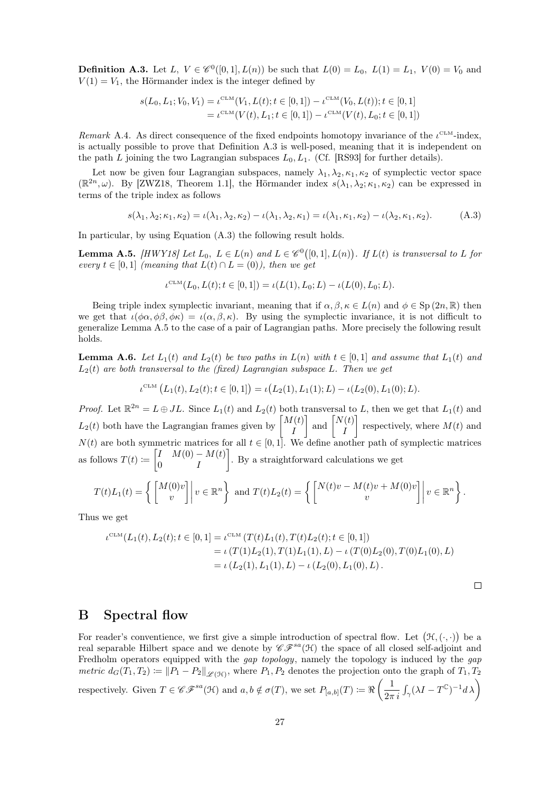<span id="page-26-2"></span>**Definition A.3.** Let L,  $V \in \mathcal{C}^0([0,1], L(n))$  be such that  $L(0) = L_0$ ,  $L(1) = L_1$ ,  $V(0) = V_0$  and  $V(1) = V_1$ , the Hörmander index is the integer defined by

$$
s(L_0, L_1; V_0, V_1) = \iota^{\text{CLM}}(V_1, L(t); t \in [0, 1]) - \iota^{\text{CLM}}(V_0, L(t)); t \in [0, 1]
$$
  
=  $\iota^{\text{CLM}}(V(t), L_1; t \in [0, 1]) - \iota^{\text{CLM}}(V(t), L_0; t \in [0, 1])$ 

Remark A.4. As direct consequence of the fixed endpoints homotopy invariance of the  $i^{\text{CLM}}$ -index, is actually possible to prove that Definition [A.3](#page-26-2) is well-posed, meaning that it is independent on the path L joining the two Lagrangian subspaces  $L_0, L_1$ . (Cf. [\[RS93\]](#page-29-3) for further details).

Let now be given four Lagrangian subspaces, namely  $\lambda_1, \lambda_2, \kappa_1, \kappa_2$  of symplectic vector space  $(\mathbb{R}^{2n},\omega)$ . By [\[ZWZ18,](#page-29-2) Theorem 1.1], the Hörmander index  $s(\lambda_1,\lambda_2;\kappa_1,\kappa_2)$  can be expressed in terms of the triple index as follows

$$
s(\lambda_1, \lambda_2; \kappa_1, \kappa_2) = \iota(\lambda_1, \lambda_2, \kappa_2) - \iota(\lambda_1, \lambda_2, \kappa_1) = \iota(\lambda_1, \kappa_1, \kappa_2) - \iota(\lambda_2, \kappa_1, \kappa_2). \tag{A.3}
$$

In particular, by using Equation [\(A.3\)](#page-26-3) the following result holds.

<span id="page-26-4"></span>**Lemma A.5.** [\[HWY18\]](#page-28-12) Let  $L_0$ ,  $L \in L(n)$  and  $L \in \mathscr{C}^0([0,1], L(n))$ . If  $L(t)$  is transversal to L for every  $t \in [0,1]$  (meaning that  $L(t) \cap L = (0)$ ), then we get

<span id="page-26-3"></span>
$$
\iota^{\mathrm{CLM}}(L_0, L(t); t \in [0,1]) = \iota(L(1), L_0; L) - \iota(L(0), L_0; L).
$$

Being triple index symplectic invariant, meaning that if  $\alpha, \beta, \kappa \in L(n)$  and  $\phi \in \text{Sp}(2n, \mathbb{R})$  then we get that  $\iota(\phi\alpha, \phi\beta, \phi\kappa) = \iota(\alpha, \beta, \kappa)$ . By using the symplectic invariance, it is not difficult to generalize Lemma [A.5](#page-26-4) to the case of a pair of Lagrangian paths. More precisely the following result holds.

<span id="page-26-1"></span>**Lemma A.6.** Let  $L_1(t)$  and  $L_2(t)$  be two paths in  $L(n)$  with  $t \in [0,1]$  and assume that  $L_1(t)$  and  $L_2(t)$  are both transversal to the (fixed) Lagrangian subspace L. Then we get

$$
\iota^{\text{CLM}}\left(L_1(t), L_2(t); t \in [0, 1]\right) = \iota\big(L_2(1), L_1(1); L\big) - \iota\big(L_2(0), L_1(0); L\big).
$$

*Proof.* Let  $\mathbb{R}^{2n} = L \oplus JL$ . Since  $L_1(t)$  and  $L_2(t)$  both transversal to L, then we get that  $L_1(t)$  and  $L_2(t)$  both have the Lagrangian frames given by  $\begin{bmatrix} M(t) \\ I \end{bmatrix}$ I  $\Big]$  and  $\Big[ \begin{matrix} N(t) \\ I \end{matrix} \Big]$ I respectively, where  $M(t)$  and  $N(t)$  are both symmetric matrices for all  $t \in [0, 1]$ . We define another path of symplectic matrices as follows  $T(t) \coloneqq \begin{bmatrix} I & M(0) - M(t) \\ 0 & I \end{bmatrix}$  $0$   $I$ . By a straightforward calculations we get

$$
T(t)L_1(t) = \left\{ \begin{bmatrix} M(0)v \\ v \end{bmatrix} \middle| v \in \mathbb{R}^n \right\} \text{ and } T(t)L_2(t) = \left\{ \begin{bmatrix} N(t)v - M(t)v + M(0)v \\ v \end{bmatrix} \middle| v \in \mathbb{R}^n \right\}.
$$

Thus we get

$$
\iota^{\text{CLM}}(L_1(t), L_2(t); t \in [0, 1]) = \iota^{\text{CLM}}(T(t)L_1(t), T(t)L_2(t); t \in [0, 1])
$$
  
=  $\iota(T(1)L_2(1), T(1)L_1(1), L) - \iota(T(0)L_2(0), T(0)L_1(0), L)$   
=  $\iota(L_2(1), L_1(1), L) - \iota(L_2(0), L_1(0), L).$ 

$$
\Box
$$

### <span id="page-26-0"></span>B Spectral flow

For reader's conventience, we first give a simple introduction of spectral flow. Let  $(\mathcal{H}, (\cdot, \cdot))$  be a real separable Hilbert space and we denote by  $\mathscr{CF}^{sa}(\mathcal{H})$  the space of all closed self-adjoint and Fredholm operators equipped with the *gap topology*, namely the topology is induced by the *gap* metric  $d_G(T_1, T_2) \coloneqq ||P_1 - P_2||_{\mathscr{L}(\mathcal{H})}$ , where  $P_1, P_2$  denotes the projection onto the graph of  $T_1, T_2$ respectively. Given  $T \in \mathscr{CF}^{sa}(\mathcal{H})$  and  $a, b \notin \sigma(T)$ , we set  $P_{[a,b]}(T) := \Re\left(\frac{1}{2\pi\sqrt{T}}\right)$  $\frac{1}{2\pi i}\int_{\gamma} (\lambda I - T^{\mathbb C})^{-1} d\,\lambda\bigg)$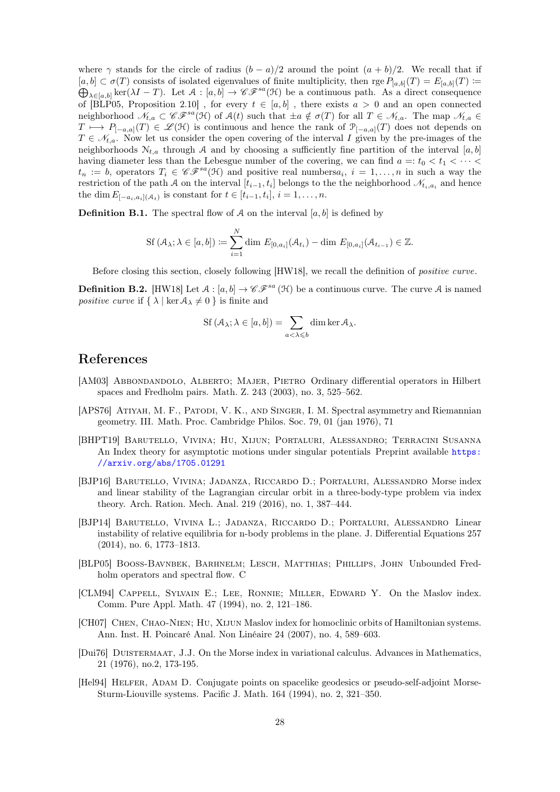where  $\gamma$  stands for the circle of radius  $(b - a)/2$  around the point  $(a + b)/2$ . We recall that if  $[a, b] \subset \sigma(T)$  consists of isolated eigenvalues of finite multiplicity, then rge  $P_{[a, b]}(T) = E_{[a, b]}(T)$  :=  $\bigoplus_{\lambda \in [a,b]} \ker(\lambda I - T)$ . Let  $\mathcal A : [a,b] \to \mathscr{CF}^{sa}(\mathfrak{H})$  be a continuous path. As a direct consequence of [\[BLP05,](#page-27-10) Proposition 2.10], for every  $t \in [a, b]$ , there exists  $a > 0$  and an open connected neighborhood  $\mathcal{N}_{t,a} \subset \mathscr{CF}^{sa}(\mathfrak{H})$  of  $\mathcal{A}(t)$  such that  $\pm a \notin \sigma(T)$  for all  $T \in \mathcal{N}_{t,a}$ . The map  $\mathcal{N}_{t,a} \in$  $T \mapsto P_{[-a,a]}(T) \in \mathscr{L}(\mathcal{H})$  is continuous and hence the rank of  $\mathcal{P}_{[-a,a]}(T)$  does not depends on  $T \in \mathcal{N}_{t,a}$ . Now let us consider the open covering of the interval I given by the pre-images of the neighborhoods  $N_{t,a}$  through A and by choosing a sufficiently fine partition of the interval [a, b] having diameter less than the Lebesgue number of the covering, we can find  $a =: t_0 < t_1 < \cdots <$  $t_n := b$ , operators  $T_i \in \mathscr{CF}^{sa}(\mathfrak{H})$  and positive real numbers $a_i, i = 1, \ldots, n$  in such a way the restriction of the path A on the interval  $[t_{i-1}, t_i]$  belongs to the the neighborhood  $\mathcal{N}_{t_i, a_i}$  and hence the dim  $E_{[-a_i,a_i](\mathcal{A}_t)}$  is constant for  $t \in [t_{i-1},t_i], i = 1,\ldots,n$ .

**Definition B.1.** The spectral flow of A on the interval  $[a, b]$  is defined by

$$
\text{Sf}(\mathcal{A}_{\lambda}; \lambda \in [a, b]) := \sum_{i=1}^{N} \dim E_{[0, a_i]}(\mathcal{A}_{t_i}) - \dim E_{[0, a_i]}(\mathcal{A}_{t_{i-1}}) \in \mathbb{Z}.
$$

Before closing this section, closely following [\[HW18\]](#page-28-16), we recall the definition of positive curve.

<span id="page-27-8"></span>**Definition B.2.** [\[HW18\]](#page-28-16) Let  $A : [a, b] \to \mathscr{CF}^{sa}(\mathcal{H})$  be a continuous curve. The curve A is named *positive curve* if  $\{\lambda \mid \ker A_\lambda \neq 0\}$  is finite and

$$
\mathrm{Sf}\left(\mathcal{A}_{\lambda};\lambda\in[a,b]\right)=\sum_{a<\lambda\leqslant b}\dim\ker\mathcal{A}_{\lambda}.
$$

### References

- <span id="page-27-6"></span>[AM03] ABBONDANDOLO, ALBERTO; MAJER, PIETRO Ordinary differential operators in Hilbert spaces and Fredholm pairs. Math. Z. 243 (2003), no. 3, 525–562.
- <span id="page-27-5"></span>[APS76] ATIYAH, M. F., PATODI, V. K., AND SINGER, I. M. Spectral asymmetry and Riemannian geometry. III. Math. Proc. Cambridge Philos. Soc. 79, 01 (jan 1976), 71
- <span id="page-27-4"></span>[BHPT19] Barutello, Vivina; Hu, Xijun; Portaluri, Alessandro; Terracini Susanna An Index theory for asymptotic motions under singular potentials Preprint available [https:](https://arxiv.org/abs/1705.01291) [//arxiv.org/abs/1705.01291](https://arxiv.org/abs/1705.01291)
- <span id="page-27-2"></span>[BJP16] Barutello, Vivina; Jadanza, Riccardo D.; Portaluri, Alessandro Morse index and linear stability of the Lagrangian circular orbit in a three-body-type problem via index theory. Arch. Ration. Mech. Anal. 219 (2016), no. 1, 387–444.
- <span id="page-27-1"></span>[BJP14] Barutello, Vivina L.; Jadanza, Riccardo D.; Portaluri, Alessandro Linear instability of relative equilibria for n-body problems in the plane. J. Differential Equations 257 (2014), no. 6, 1773–1813.
- <span id="page-27-10"></span>[BLP05] Booss-Bavnbek, Barhnelm; Lesch, Matthias; Phillips, John Unbounded Fredholm operators and spectral flow. C
- <span id="page-27-7"></span>[CLM94] Cappell, Sylvain E.; Lee, Ronnie; Miller, Edward Y. On the Maslov index. Comm. Pure Appl. Math. 47 (1994), no. 2, 121–186.
- <span id="page-27-3"></span>[CH07] CHEN, CHAO-NIEN; HU, XIJUN Maslov index for homoclinic orbits of Hamiltonian systems. Ann. Inst. H. Poincaré Anal. Non Linéaire 24 (2007), no. 4, 589–603.
- <span id="page-27-9"></span>[Dui76] Duistermaat, J.J. On the Morse index in variational calculus. Advances in Mathematics, 21 (1976), no.2, 173-195.
- <span id="page-27-0"></span>[Hel94] HELFER, ADAM D. Conjugate points on spacelike geodesics or pseudo-self-adjoint Morse-Sturm-Liouville systems. Pacific J. Math. 164 (1994), no. 2, 321–350.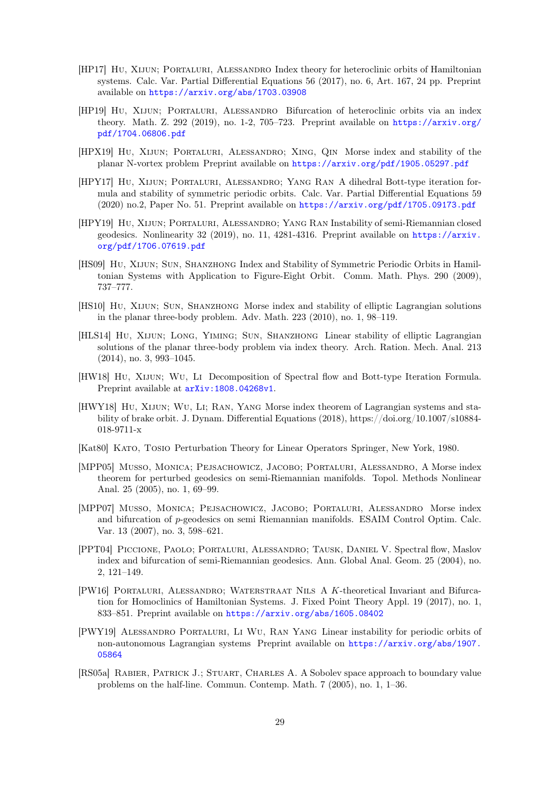- <span id="page-28-13"></span>[HP17] Hu, Xijun; Portaluri, Alessandro Index theory for heteroclinic orbits of Hamiltonian systems. Calc. Var. Partial Differential Equations 56 (2017), no. 6, Art. 167, 24 pp. Preprint available on <https://arxiv.org/abs/1703.03908>
- <span id="page-28-10"></span>[HP19] Hu, Xijun; Portaluri, Alessandro Bifurcation of heteroclinic orbits via an index theory. Math. Z. 292 (2019), no. 1-2, 705–723. Preprint available on [https://arxiv.org/](https://arxiv.org/pdf/1704.06806.pdf) [pdf/1704.06806.pdf](https://arxiv.org/pdf/1704.06806.pdf)
- <span id="page-28-8"></span>[HPX19] Hu, Xijun; Portaluri, Alessandro; Xing, Qin Morse index and stability of the planar N-vortex problem Preprint available on <https://arxiv.org/pdf/1905.05297.pdf>
- <span id="page-28-6"></span>[HPY17] Hu, Xijun; Portaluri, Alessandro; Yang Ran A dihedral Bott-type iteration formula and stability of symmetric periodic orbits. Calc. Var. Partial Differential Equations 59 (2020) no.2, Paper No. 51. Preprint available on <https://arxiv.org/pdf/1705.09173.pdf>
- <span id="page-28-7"></span>[HPY19] Hu, Xijun; Portaluri, Alessandro; Yang Ran Instability of semi-Riemannian closed geodesics. Nonlinearity 32 (2019), no. 11, 4281-4316. Preprint available on [https://arxiv.](https://arxiv.org/pdf/1706.07619.pdf) [org/pdf/1706.07619.pdf](https://arxiv.org/pdf/1706.07619.pdf)
- <span id="page-28-3"></span>[HS09] Hu, Xijun; Sun, Shanzhong Index and Stability of Symmetric Periodic Orbits in Hamiltonian Systems with Application to Figure-Eight Orbit. Comm. Math. Phys. 290 (2009), 737–777.
- <span id="page-28-4"></span>[HS10] Hu, Xijun; Sun, Shanzhong Morse index and stability of elliptic Lagrangian solutions in the planar three-body problem. Adv. Math. 223 (2010), no. 1, 98–119.
- <span id="page-28-5"></span>[HLS14] Hu, Xijun; Long, Yiming; Sun, Shanzhong Linear stability of elliptic Lagrangian solutions of the planar three-body problem via index theory. Arch. Ration. Mech. Anal. 213 (2014), no. 3, 993–1045.
- <span id="page-28-16"></span>[HW18] Hu, Xijun; Wu, Li Decomposition of Spectral flow and Bott-type Iteration Formula. Preprint available at  $arXiv:1808.04268v1$ .
- <span id="page-28-12"></span>[HWY18] Hu, Xijun; Wu, Li; Ran, Yang Morse index theorem of Lagrangian systems and stability of brake orbit. J. Dynam. Differential Equations (2018), https://doi.org/10.1007/s10884- 018-9711-x
- <span id="page-28-15"></span>[Kat80] Kato, Tosio Perturbation Theory for Linear Operators Springer, New York, 1980.
- <span id="page-28-0"></span>[MPP05] Musso, Monica; Pejsachowicz, Jacobo; Portaluri, Alessandro, A Morse index theorem for perturbed geodesics on semi-Riemannian manifolds. Topol. Methods Nonlinear Anal. 25 (2005), no. 1, 69–99.
- <span id="page-28-1"></span>[MPP07] Musso, Monica; Pejsachowicz, Jacobo; Portaluri, Alessandro Morse index and bifurcation of p-geodesics on semi Riemannian manifolds. ESAIM Control Optim. Calc. Var. 13 (2007), no. 3, 598–621.
- <span id="page-28-2"></span>[PPT04] Piccione, Paolo; Portaluri, Alessandro; Tausk, Daniel V. Spectral flow, Maslov index and bifurcation of semi-Riemannian geodesics. Ann. Global Anal. Geom. 25 (2004), no. 2, 121–149.
- <span id="page-28-9"></span>[PW16] Portaluri, Alessandro; Waterstraat Nils A K-theoretical Invariant and Bifurcation for Homoclinics of Hamiltonian Systems. J. Fixed Point Theory Appl. 19 (2017), no. 1, 833–851. Preprint available on <https://arxiv.org/abs/1605.08402>
- <span id="page-28-11"></span>[PWY19] Alessandro Portaluri, Li Wu, Ran Yang Linear instability for periodic orbits of non-autonomous Lagrangian systems Preprint available on [https://arxiv.org/abs/1907.](https://arxiv.org/abs/1907.05864) [05864](https://arxiv.org/abs/1907.05864)
- <span id="page-28-14"></span>[RS05a] Rabier, Patrick J.; Stuart, Charles A. A Sobolev space approach to boundary value problems on the half-line. Commun. Contemp. Math. 7 (2005), no. 1, 1–36.